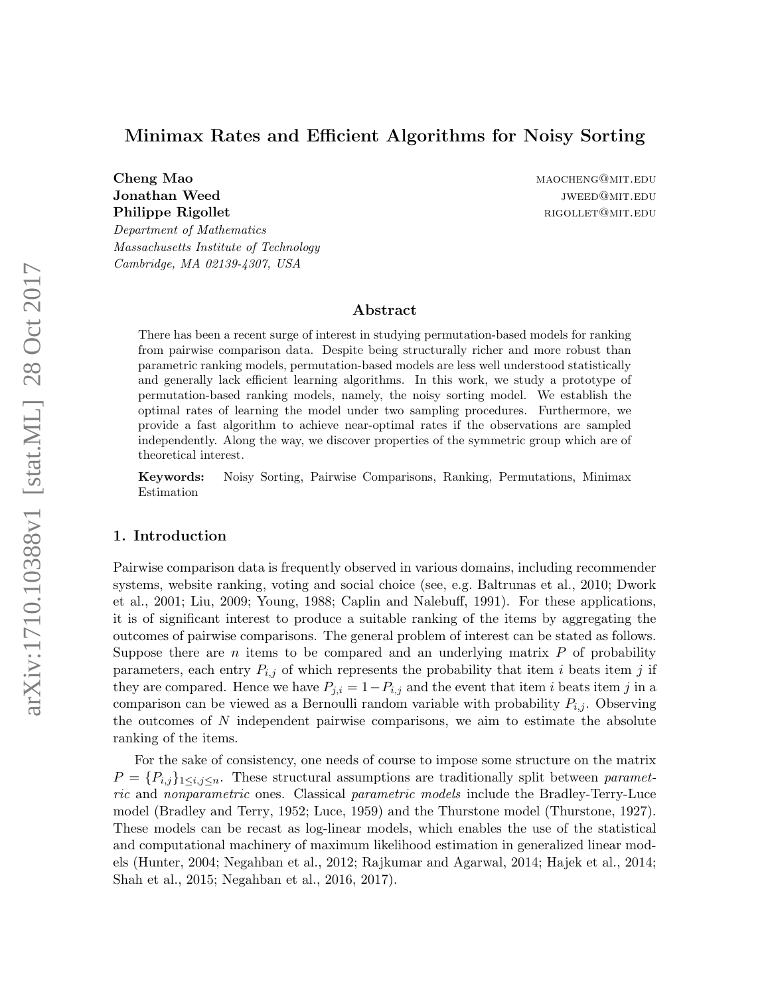# Minimax Rates and Efficient Algorithms for Noisy Sorting

**Cheng Mao material contract of the Cheng Mao manufacture of the MAOCHENG@MIT.EDU** Philippe Rigollet **rigollet** rigorian control and the rigorian rigorian rigorian rigorian rigorian rigorian rigorian rigorian rigorian rigorian rigorian rigorian rigorian rigorian rigorian rigorian rigorian rigorian rigori

Department of Mathematics Massachusetts Institute of Technology Cambridge, MA 02139-4307, USA

**Jonathan Weed is a set of the contract of the contract of the contract of the contract of the contract of the contract of the contract of the contract of the contract of the contract of the contract of the contract of the** 

# Abstract

There has been a recent surge of interest in studying permutation-based models for ranking from pairwise comparison data. Despite being structurally richer and more robust than parametric ranking models, permutation-based models are less well understood statistically and generally lack efficient learning algorithms. In this work, we study a prototype of permutation-based ranking models, namely, the noisy sorting model. We establish the optimal rates of learning the model under two sampling procedures. Furthermore, we provide a fast algorithm to achieve near-optimal rates if the observations are sampled independently. Along the way, we discover properties of the symmetric group which are of theoretical interest.

Keywords: Noisy Sorting, Pairwise Comparisons, Ranking, Permutations, Minimax Estimation

# 1. Introduction

Pairwise comparison data is frequently observed in various domains, including recommender systems, website ranking, voting and social choice (see, e.g. [Baltrunas et al., 2010;](#page-23-0) [Dwork](#page-24-0) [et al., 2001;](#page-24-0) [Liu, 2009;](#page-24-1) [Young, 1988;](#page-26-0) [Caplin and Nalebuff, 1991\)](#page-23-1). For these applications, it is of significant interest to produce a suitable ranking of the items by aggregating the outcomes of pairwise comparisons. The general problem of interest can be stated as follows. Suppose there are  $n$  items to be compared and an underlying matrix  $P$  of probability parameters, each entry  $P_{i,j}$  of which represents the probability that item i beats item j if they are compared. Hence we have  $P_{j,i} = 1 - P_{i,j}$  and the event that item i beats item j in a comparison can be viewed as a Bernoulli random variable with probability  $P_{i,j}$ . Observing the outcomes of  $N$  independent pairwise comparisons, we aim to estimate the absolute ranking of the items.

For the sake of consistency, one needs of course to impose some structure on the matrix  $P = \{P_{i,j}\}_{1 \leq i,j \leq n}$ . These structural assumptions are traditionally split between parametric and nonparametric ones. Classical parametric models include the Bradley-Terry-Luce model [\(Bradley and Terry, 1952;](#page-23-2) [Luce, 1959\)](#page-24-2) and the Thurstone model [\(Thurstone, 1927\)](#page-25-0). These models can be recast as log-linear models, which enables the use of the statistical and computational machinery of maximum likelihood estimation in generalized linear models [\(Hunter, 2004;](#page-24-3) [Negahban et al., 2012;](#page-25-1) [Rajkumar and Agarwal, 2014;](#page-25-2) [Hajek et al., 2014;](#page-24-4) [Shah et al., 2015;](#page-25-3) [Negahban et al., 2016,](#page-25-4) [2017\)](#page-25-5).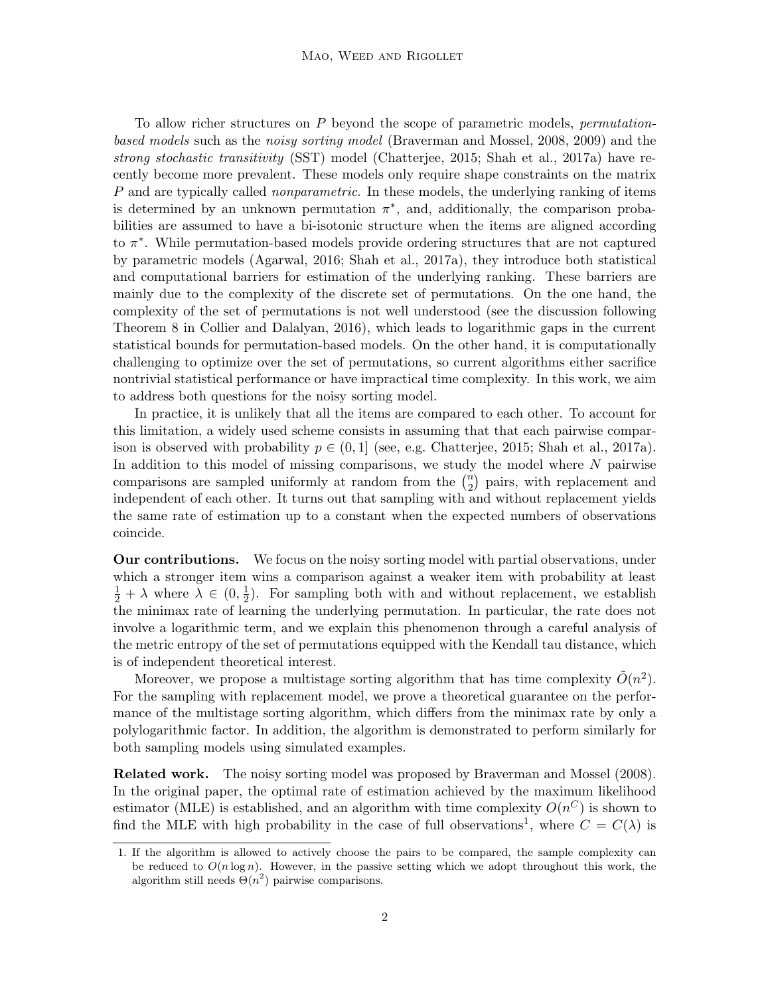To allow richer structures on  $P$  beyond the scope of parametric models, *permutation*based models such as the noisy sorting model [\(Braverman and Mossel, 2008,](#page-23-3) [2009\)](#page-23-4) and the strong stochastic transitivity (SST) model [\(Chatterjee, 2015;](#page-23-5) [Shah et al., 2017a\)](#page-25-6) have recently become more prevalent. These models only require shape constraints on the matrix P and are typically called *nonparametric*. In these models, the underlying ranking of items is determined by an unknown permutation  $\pi^*$ , and, additionally, the comparison probabilities are assumed to have a bi-isotonic structure when the items are aligned according to  $\pi^*$ . While permutation-based models provide ordering structures that are not captured by parametric models [\(Agarwal, 2016;](#page-23-6) [Shah et al., 2017a\)](#page-25-6), they introduce both statistical and computational barriers for estimation of the underlying ranking. These barriers are mainly due to the complexity of the discrete set of permutations. On the one hand, the complexity of the set of permutations is not well understood (see the discussion following Theorem 8 in [Collier and Dalalyan, 2016\)](#page-23-7), which leads to logarithmic gaps in the current statistical bounds for permutation-based models. On the other hand, it is computationally challenging to optimize over the set of permutations, so current algorithms either sacrifice nontrivial statistical performance or have impractical time complexity. In this work, we aim to address both questions for the noisy sorting model.

In practice, it is unlikely that all the items are compared to each other. To account for this limitation, a widely used scheme consists in assuming that that each pairwise comparison is observed with probability  $p \in (0,1]$  (see, e.g. [Chatterjee, 2015;](#page-23-5) [Shah et al., 2017a\)](#page-25-6). In addition to this model of missing comparisons, we study the model where  $N$  pairwise comparisons are sampled uniformly at random from the  $\binom{n}{2}$  $\binom{n}{2}$  pairs, with replacement and independent of each other. It turns out that sampling with and without replacement yields the same rate of estimation up to a constant when the expected numbers of observations coincide.

Our contributions. We focus on the noisy sorting model with partial observations, under which a stronger item wins a comparison against a weaker item with probability at least  $\frac{1}{2} + \lambda$  where  $\lambda \in (0, \frac{1}{2})$  $\frac{1}{2}$ ). For sampling both with and without replacement, we establish the minimax rate of learning the underlying permutation. In particular, the rate does not involve a logarithmic term, and we explain this phenomenon through a careful analysis of the metric entropy of the set of permutations equipped with the Kendall tau distance, which is of independent theoretical interest.

Moreover, we propose a multistage sorting algorithm that has time complexity  $\tilde{O}(n^2)$ . For the sampling with replacement model, we prove a theoretical guarantee on the performance of the multistage sorting algorithm, which differs from the minimax rate by only a polylogarithmic factor. In addition, the algorithm is demonstrated to perform similarly for both sampling models using simulated examples.

Related work. The noisy sorting model was proposed by [Braverman and Mossel](#page-23-3) [\(2008\)](#page-23-3). In the original paper, the optimal rate of estimation achieved by the maximum likelihood estimator (MLE) is established, and an algorithm with time complexity  $O(n^C)$  is shown to find the MLE with high probability in the case of full observations<sup>[1](#page-1-0)</sup>, where  $C = C(\lambda)$  is

<span id="page-1-0"></span><sup>1.</sup> If the algorithm is allowed to actively choose the pairs to be compared, the sample complexity can be reduced to  $O(n \log n)$ . However, in the passive setting which we adopt throughout this work, the algorithm still needs  $\Theta(n^2)$  pairwise comparisons.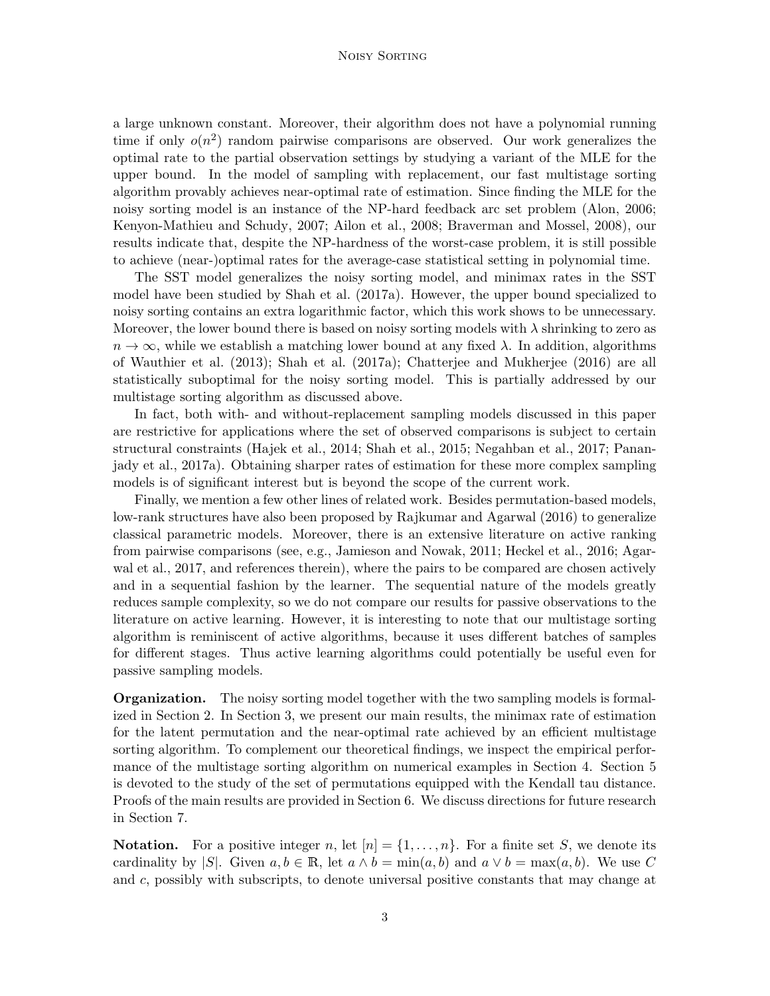#### Noisy Sorting

a large unknown constant. Moreover, their algorithm does not have a polynomial running time if only  $o(n^2)$  random pairwise comparisons are observed. Our work generalizes the optimal rate to the partial observation settings by studying a variant of the MLE for the upper bound. In the model of sampling with replacement, our fast multistage sorting algorithm provably achieves near-optimal rate of estimation. Since finding the MLE for the noisy sorting model is an instance of the NP-hard feedback arc set problem [\(Alon, 2006;](#page-23-8) [Kenyon-Mathieu and Schudy, 2007;](#page-24-5) [Ailon et al., 2008;](#page-23-9) [Braverman and Mossel, 2008\)](#page-23-3), our results indicate that, despite the NP-hardness of the worst-case problem, it is still possible to achieve (near-)optimal rates for the average-case statistical setting in polynomial time.

The SST model generalizes the noisy sorting model, and minimax rates in the SST model have been studied by [Shah et al.](#page-25-6) [\(2017a\)](#page-25-6). However, the upper bound specialized to noisy sorting contains an extra logarithmic factor, which this work shows to be unnecessary. Moreover, the lower bound there is based on noisy sorting models with  $\lambda$  shrinking to zero as  $n \to \infty$ , while we establish a matching lower bound at any fixed  $\lambda$ . In addition, algorithms of [Wauthier et al.](#page-26-1) [\(2013\)](#page-26-1); [Shah et al.](#page-25-6) [\(2017a\)](#page-25-6); [Chatterjee and Mukherjee](#page-23-10) [\(2016\)](#page-23-10) are all statistically suboptimal for the noisy sorting model. This is partially addressed by our multistage sorting algorithm as discussed above.

In fact, both with- and without-replacement sampling models discussed in this paper are restrictive for applications where the set of observed comparisons is subject to certain structural constraints [\(Hajek et al., 2014;](#page-24-4) [Shah et al., 2015;](#page-25-3) [Negahban et al., 2017;](#page-25-5) [Panan](#page-25-7)[jady et al., 2017a\)](#page-25-7). Obtaining sharper rates of estimation for these more complex sampling models is of significant interest but is beyond the scope of the current work.

Finally, we mention a few other lines of related work. Besides permutation-based models, low-rank structures have also been proposed by [Rajkumar and Agarwal](#page-25-8) [\(2016\)](#page-25-8) to generalize classical parametric models. Moreover, there is an extensive literature on active ranking from pairwise comparisons (see, e.g., [Jamieson and Nowak, 2011;](#page-24-6) [Heckel et al., 2016;](#page-24-7) [Agar](#page-23-11)[wal et al., 2017,](#page-23-11) and references therein), where the pairs to be compared are chosen actively and in a sequential fashion by the learner. The sequential nature of the models greatly reduces sample complexity, so we do not compare our results for passive observations to the literature on active learning. However, it is interesting to note that our multistage sorting algorithm is reminiscent of active algorithms, because it uses different batches of samples for different stages. Thus active learning algorithms could potentially be useful even for passive sampling models.

Organization. The noisy sorting model together with the two sampling models is formalized in Section [2.](#page-3-0) In Section [3,](#page-4-0) we present our main results, the minimax rate of estimation for the latent permutation and the near-optimal rate achieved by an efficient multistage sorting algorithm. To complement our theoretical findings, we inspect the empirical performance of the multistage sorting algorithm on numerical examples in Section [4.](#page-8-0) Section [5](#page-10-0) is devoted to the study of the set of permutations equipped with the Kendall tau distance. Proofs of the main results are provided in Section [6.](#page-12-0) We discuss directions for future research in Section [7.](#page-22-0)

**Notation.** For a positive integer n, let  $[n] = \{1, \ldots, n\}$ . For a finite set S, we denote its cardinality by  $|S|$ . Given  $a, b \in \mathbb{R}$ , let  $a \wedge b = \min(a, b)$  and  $a \vee b = \max(a, b)$ . We use C and c, possibly with subscripts, to denote universal positive constants that may change at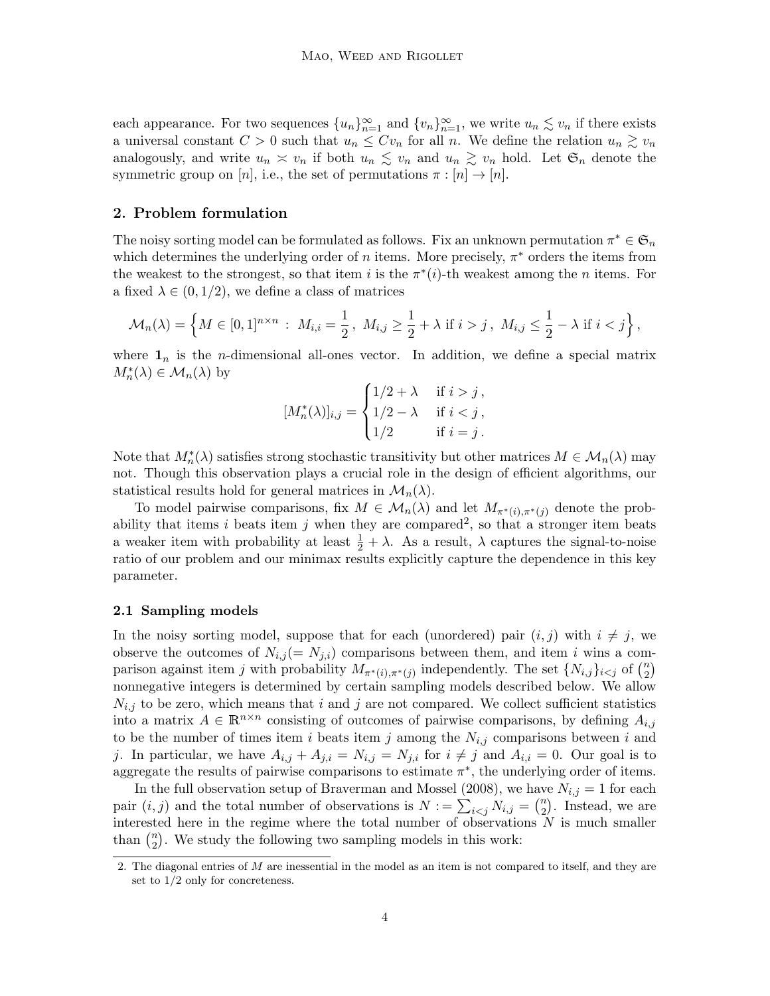each appearance. For two sequences  ${u_n}_{n=1}^{\infty}$  and  ${v_n}_{n=1}^{\infty}$ , we write  $u_n \lesssim v_n$  if there exists a universal constant  $C > 0$  such that  $u_n \leq Cv_n$  for all n. We define the relation  $u_n \gtrsim v_n$ analogously, and write  $u_n \simeq v_n$  if both  $u_n \lesssim v_n$  and  $u_n \gtrsim v_n$  hold. Let  $\mathfrak{S}_n$  denote the symmetric group on [n], i.e., the set of permutations  $\pi : [n] \to [n]$ .

# <span id="page-3-0"></span>2. Problem formulation

The noisy sorting model can be formulated as follows. Fix an unknown permutation  $\pi^* \in \mathfrak{S}_n$ which determines the underlying order of n items. More precisely,  $\pi^*$  orders the items from the weakest to the strongest, so that item i is the  $\pi^*(i)$ -th weakest among the n items. For a fixed  $\lambda \in (0, 1/2)$ , we define a class of matrices

$$
\mathcal{M}_n(\lambda) = \left\{ M \in [0,1]^{n \times n} : M_{i,i} = \frac{1}{2}, M_{i,j} \ge \frac{1}{2} + \lambda \text{ if } i > j, M_{i,j} \le \frac{1}{2} - \lambda \text{ if } i < j \right\},\
$$

where  $\mathbf{1}_n$  is the *n*-dimensional all-ones vector. In addition, we define a special matrix  $M_n^*(\lambda) \in \mathcal{M}_n(\lambda)$  by

$$
[M_n^*(\lambda)]_{i,j} = \begin{cases} 1/2 + \lambda & \text{if } i > j, \\ 1/2 - \lambda & \text{if } i < j, \\ 1/2 & \text{if } i = j. \end{cases}
$$

Note that  $M_n^*(\lambda)$  satisfies strong stochastic transitivity but other matrices  $M \in \mathcal{M}_n(\lambda)$  may not. Though this observation plays a crucial role in the design of efficient algorithms, our statistical results hold for general matrices in  $\mathcal{M}_n(\lambda)$ .

To model pairwise comparisons, fix  $M \in \mathcal{M}_n(\lambda)$  and let  $M_{\pi^*(i), \pi^*(i)}$  denote the prob-ability that items i beats item j when they are compared<sup>[2](#page-3-1)</sup>, so that a stronger item beats a weaker item with probability at least  $\frac{1}{2} + \lambda$ . As a result,  $\lambda$  captures the signal-to-noise ratio of our problem and our minimax results explicitly capture the dependence in this key parameter.

#### 2.1 Sampling models

In the noisy sorting model, suppose that for each (unordered) pair  $(i, j)$  with  $i \neq j$ , we observe the outcomes of  $N_{i,j} (= N_{j,i})$  comparisons between them, and item i wins a comparison against item j with probability  $M_{\pi^*(i),\pi^*(j)}$  independently. The set  $\{N_{i,j}\}_{i\leq j}$  of  $\binom{n}{2}$  $\binom{n}{2}$ nonnegative integers is determined by certain sampling models described below. We allow  $N_{i,j}$  to be zero, which means that i and j are not compared. We collect sufficient statistics into a matrix  $A \in \mathbb{R}^{n \times n}$  consisting of outcomes of pairwise comparisons, by defining  $A_{i,j}$ to be the number of times item i beats item j among the  $N_{i,j}$  comparisons between i and j. In particular, we have  $A_{i,j} + A_{j,i} = N_{i,j} = N_{j,i}$  for  $i \neq j$  and  $A_{i,i} = 0$ . Our goal is to aggregate the results of pairwise comparisons to estimate  $\pi^*$ , the underlying order of items.

In the full observation setup of [Braverman and Mossel](#page-23-3) [\(2008\)](#page-23-3), we have  $N_{i,j} = 1$  for each pair  $(i, j)$  and the total number of observations is  $N := \sum_{i < j} N_{i,j} = \binom{n}{2}$  $n \choose 2$ . Instead, we are interested here in the regime where the total number of observations  $N$  is much smaller than  $\binom{n}{2}$  $n_2$ ). We study the following two sampling models in this work:

<span id="page-3-1"></span><sup>2.</sup> The diagonal entries of M are inessential in the model as an item is not compared to itself, and they are set to 1/2 only for concreteness.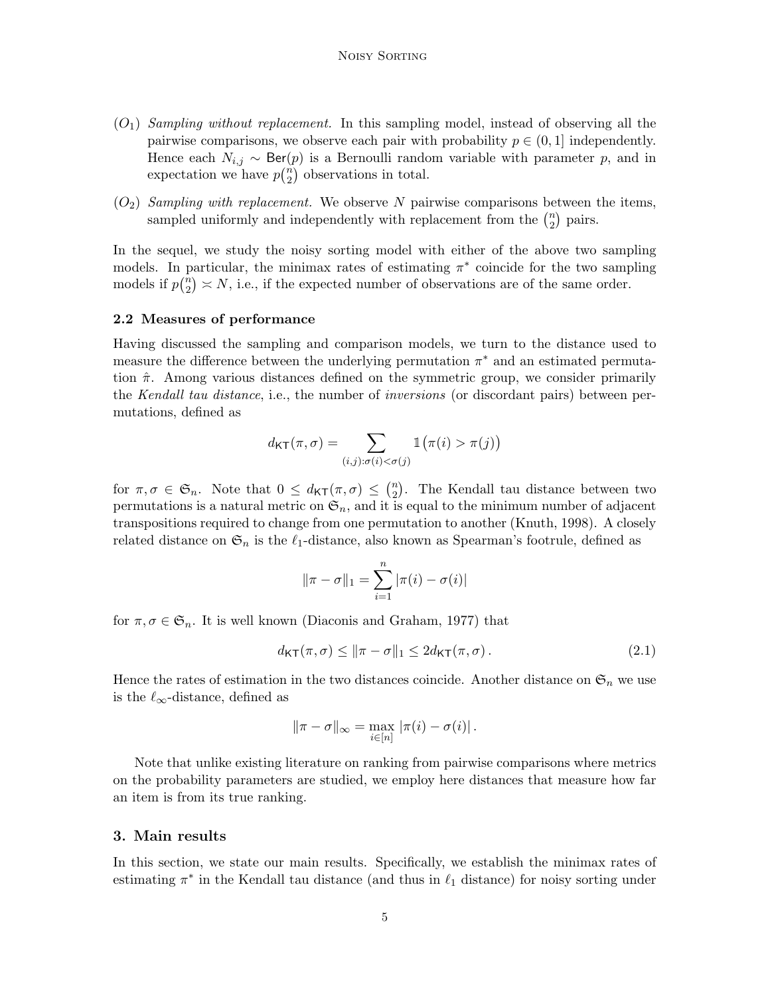- <span id="page-4-1"></span> $(O_1)$  Sampling without replacement. In this sampling model, instead of observing all the pairwise comparisons, we observe each pair with probability  $p \in (0,1]$  independently. Hence each  $N_{i,j} \sim \text{Ber}(p)$  is a Bernoulli random variable with parameter p, and in expectation we have  $p\binom{n}{2}$  $n \choose 2$  observations in total.
- <span id="page-4-2"></span> $(O_2)$  Sampling with replacement. We observe N pairwise comparisons between the items, sampled uniformly and independently with replacement from the  $\binom{n}{2}$  $n \choose 2$  pairs.

In the sequel, we study the noisy sorting model with either of the above two sampling models. In particular, the minimax rates of estimating  $\pi^*$  coincide for the two sampling models if  $p\binom{n}{2}$  $\binom{n}{2} \asymp N$ , i.e., if the expected number of observations are of the same order.

## 2.2 Measures of performance

Having discussed the sampling and comparison models, we turn to the distance used to measure the difference between the underlying permutation  $\pi^*$  and an estimated permutation  $\hat{\pi}$ . Among various distances defined on the symmetric group, we consider primarily the Kendall tau distance, i.e., the number of inversions (or discordant pairs) between permutations, defined as

$$
d_{\mathsf{KT}}(\pi,\sigma) = \sum_{(i,j): \sigma(i) < \sigma(j)} \mathbb{1}\big(\pi(i) > \pi(j)\big)
$$

for  $\pi, \sigma \in \mathfrak{S}_n$ . Note that  $0 \leq d_{\mathsf{KT}}(\pi, \sigma) \leq {n \choose 2}$  $n_2$ ). The Kendall tau distance between two permutations is a natural metric on  $\mathfrak{S}_n$ , and it is equal to the minimum number of adjacent transpositions required to change from one permutation to another [\(Knuth, 1998\)](#page-24-8). A closely related distance on  $\mathfrak{S}_n$  is the  $\ell_1$ -distance, also known as Spearman's footrule, defined as

<span id="page-4-3"></span>
$$
\|\pi - \sigma\|_1 = \sum_{i=1}^n |\pi(i) - \sigma(i)|
$$

for  $\pi, \sigma \in \mathfrak{S}_n$ . It is well known [\(Diaconis and Graham, 1977\)](#page-24-9) that

$$
d_{\mathsf{KT}}(\pi,\sigma) \le \|\pi - \sigma\|_1 \le 2d_{\mathsf{KT}}(\pi,\sigma). \tag{2.1}
$$

Hence the rates of estimation in the two distances coincide. Another distance on  $\mathfrak{S}_n$  we use is the  $\ell_{\infty}\text{-distance, defined as}$ 

$$
\|\pi-\sigma\|_{\infty} = \max_{i \in [n]} |\pi(i)-\sigma(i)|.
$$

Note that unlike existing literature on ranking from pairwise comparisons where metrics on the probability parameters are studied, we employ here distances that measure how far an item is from its true ranking.

### <span id="page-4-0"></span>3. Main results

In this section, we state our main results. Specifically, we establish the minimax rates of estimating  $\pi^*$  in the Kendall tau distance (and thus in  $\ell_1$  distance) for noisy sorting under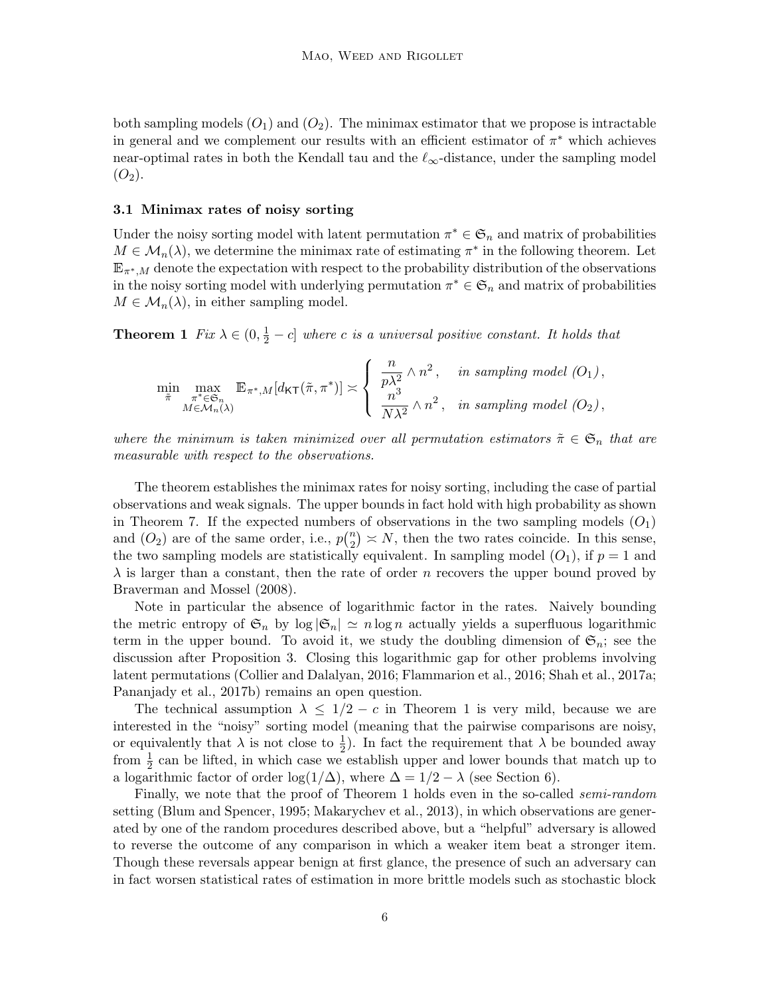both sampling models  $(O_1)$  $(O_1)$  $(O_1)$  and  $(O_2)$ . The minimax estimator that we propose is intractable in general and we complement our results with an efficient estimator of  $\pi^*$  which achieves near-optimal rates in both the Kendall tau and the  $\ell_{\infty}$ -distance, under the sampling model  $(O_2)$  $(O_2)$  $(O_2)$ .

#### 3.1 Minimax rates of noisy sorting

Under the noisy sorting model with latent permutation  $\pi^* \in \mathfrak{S}_n$  and matrix of probabilities  $M \in \mathcal{M}_n(\lambda)$ , we determine the minimax rate of estimating  $\pi^*$  in the following theorem. Let  $\mathbb{E}_{\pi^*,M}$  denote the expectation with respect to the probability distribution of the observations in the noisy sorting model with underlying permutation  $\pi^* \in \mathfrak{S}_n$  and matrix of probabilities  $M \in \mathcal{M}_n(\lambda)$ , in either sampling model.

<span id="page-5-0"></span>**Theorem 1** Fix  $\lambda \in (0, \frac{1}{2} - c]$  where c is a universal positive constant. It holds that

$$
\min_{\substack{\tilde{\pi} \\ M \in \mathcal{M}_n(\lambda)}} \max_{\substack{\pi^* \in \mathfrak{S}_n \\ M \in \mathcal{M}_n(\lambda)}} \mathbb{E}_{\pi^*,M}[d_{\mathsf{KT}}(\tilde{\pi}, \pi^*)] \asymp \left\{ \begin{array}{ll} \frac{n}{p\lambda^2} \wedge n^2, & \text{in sampling model } (O_1), \\ \frac{n^3}{N\lambda^2} \wedge n^2, & \text{in sampling model } (O_2), \end{array} \right.
$$

where the minimum is taken minimized over all permutation estimators  $\tilde{\pi} \in \mathfrak{S}_n$  that are measurable with respect to the observations.

The theorem establishes the minimax rates for noisy sorting, including the case of partial observations and weak signals. The upper bounds in fact hold with high probability as shown in Theorem [7.](#page-13-0) If the expected numbers of observations in the two sampling models  $(O_1)$  $(O_1)$  $(O_1)$ and  $(O_2)$  $(O_2)$  $(O_2)$  are of the same order, i.e.,  $p\binom{n}{2}$  $\binom{n}{2} \times N$ , then the two rates coincide. In this sense, the two sampling models are statistically equivalent. In sampling model  $(O_1)$  $(O_1)$  $(O_1)$ , if  $p = 1$  and  $\lambda$  is larger than a constant, then the rate of order n recovers the upper bound proved by [Braverman and Mossel](#page-23-3) [\(2008\)](#page-23-3).

Note in particular the absence of logarithmic factor in the rates. Naively bounding the metric entropy of  $\mathfrak{S}_n$  by  $\log |\mathfrak{S}_n| \simeq n \log n$  actually yields a superfluous logarithmic term in the upper bound. To avoid it, we study the doubling dimension of  $\mathfrak{S}_n$ ; see the discussion after Proposition [3.](#page-10-1) Closing this logarithmic gap for other problems involving latent permutations [\(Collier and Dalalyan, 2016;](#page-23-7) [Flammarion et al., 2016;](#page-24-10) [Shah et al., 2017a;](#page-25-6) [Pananjady et al., 2017b\)](#page-25-9) remains an open question.

The technical assumption  $\lambda \leq 1/2 - c$  $\lambda \leq 1/2 - c$  $\lambda \leq 1/2 - c$  in Theorem 1 is very mild, because we are interested in the "noisy" sorting model (meaning that the pairwise comparisons are noisy, or equivalently that  $\lambda$  is not close to  $\frac{1}{2}$ ). In fact the requirement that  $\lambda$  be bounded away from  $\frac{1}{2}$  can be lifted, in which case we establish upper and lower bounds that match up to a logarithmic factor of order log( $1/\Delta$ ), where  $\Delta = 1/2 - \lambda$  (see Section [6\)](#page-12-0).

Finally, we note that the proof of Theorem [1](#page-5-0) holds even in the so-called *semi-random* setting [\(Blum and Spencer, 1995;](#page-23-12) [Makarychev et al., 2013\)](#page-24-11), in which observations are generated by one of the random procedures described above, but a "helpful" adversary is allowed to reverse the outcome of any comparison in which a weaker item beat a stronger item. Though these reversals appear benign at first glance, the presence of such an adversary can in fact worsen statistical rates of estimation in more brittle models such as stochastic block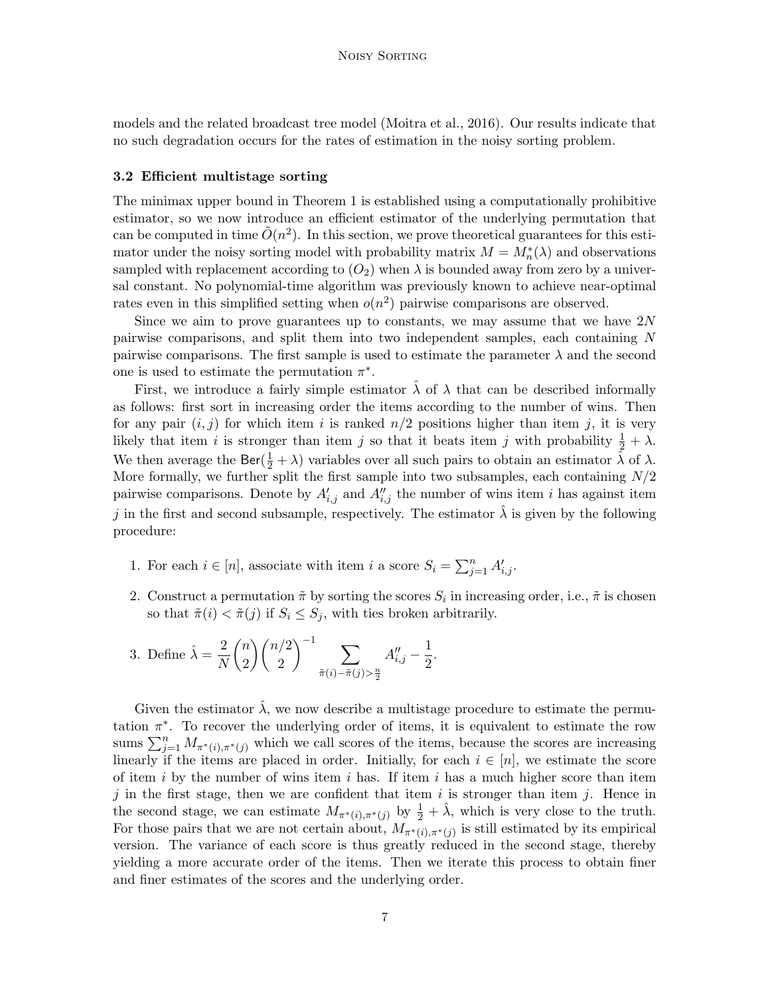models and the related broadcast tree model [\(Moitra et al., 2016\)](#page-25-10). Our results indicate that no such degradation occurs for the rates of estimation in the noisy sorting problem.

#### <span id="page-6-0"></span>3.2 Efficient multistage sorting

The minimax upper bound in Theorem [1](#page-5-0) is established using a computationally prohibitive estimator, so we now introduce an efficient estimator of the underlying permutation that can be computed in time  $\tilde{O}(n^2)$ . In this section, we prove theoretical guarantees for this estimator under the noisy sorting model with probability matrix  $M = M_n^*(\lambda)$  and observations sampled with replacement according to  $(O_2)$  $(O_2)$  $(O_2)$  when  $\lambda$  is bounded away from zero by a universal constant. No polynomial-time algorithm was previously known to achieve near-optimal rates even in this simplified setting when  $o(n^2)$  pairwise comparisons are observed.

Since we aim to prove guarantees up to constants, we may assume that we have  $2N$ pairwise comparisons, and split them into two independent samples, each containing N pairwise comparisons. The first sample is used to estimate the parameter  $\lambda$  and the second one is used to estimate the permutation  $\pi^*$ .

First, we introduce a fairly simple estimator  $\lambda$  of  $\lambda$  that can be described informally as follows: first sort in increasing order the items according to the number of wins. Then for any pair  $(i, j)$  for which item i is ranked  $n/2$  positions higher than item j, it is very likely that item *i* is stronger than item *j* so that it beats item *j* with probability  $\frac{1}{2} + \lambda$ . We then average the Ber( $\frac{1}{2} + \lambda$ ) variables over all such pairs to obtain an estimator  $\hat{\lambda}$  of  $\lambda$ . More formally, we further split the first sample into two subsamples, each containing  $N/2$ pairwise comparisons. Denote by  $A'_{i,j}$  and  $A''_{i,j}$  the number of wins item i has against item j in the first and second subsample, respectively. The estimator  $\lambda$  is given by the following procedure:

- 1. For each  $i \in [n]$ , associate with item i a score  $S_i = \sum_{j=1}^n A'_{i,j}$ .
- 2. Construct a permutation  $\tilde{\pi}$  by sorting the scores  $S_i$  in increasing order, i.e.,  $\tilde{\pi}$  is chosen so that  $\tilde{\pi}(i) < \tilde{\pi}(j)$  if  $S_i \leq S_j$ , with ties broken arbitrarily.
- 3. Define  $\hat{\lambda} = \frac{2}{\lambda}$ N  $\sqrt{n}$ 2  $\binom{n}{2}$ 2  $\Big)^{-1}$   $\sum$  $\tilde{\pi}(i) - \tilde{\pi}(j) > \frac{n}{2}$  $A''_{i,j} - \frac{1}{2}$  $\frac{1}{2}$ .

Given the estimator  $\hat{\lambda}$ , we now describe a multistage procedure to estimate the permutation  $\pi^*$ . To recover the underlying order of items, it is equivalent to estimate the row sums  $\sum_{j=1}^n M_{\pi^*(i),\pi^*(j)}$  which we call scores of the items, because the scores are increasing linearly if the items are placed in order. Initially, for each  $i \in [n]$ , we estimate the score of item i by the number of wins item i has. If item i has a much higher score than item j in the first stage, then we are confident that item is stronger than item j. Hence in the second stage, we can estimate  $M_{\pi^*(i),\pi^*(j)}$  by  $\frac{1}{2}+\hat{\lambda}$ , which is very close to the truth. For those pairs that we are not certain about,  $M_{\pi^*(i),\pi^*(j)}$  is still estimated by its empirical version. The variance of each score is thus greatly reduced in the second stage, thereby yielding a more accurate order of the items. Then we iterate this process to obtain finer and finer estimates of the scores and the underlying order.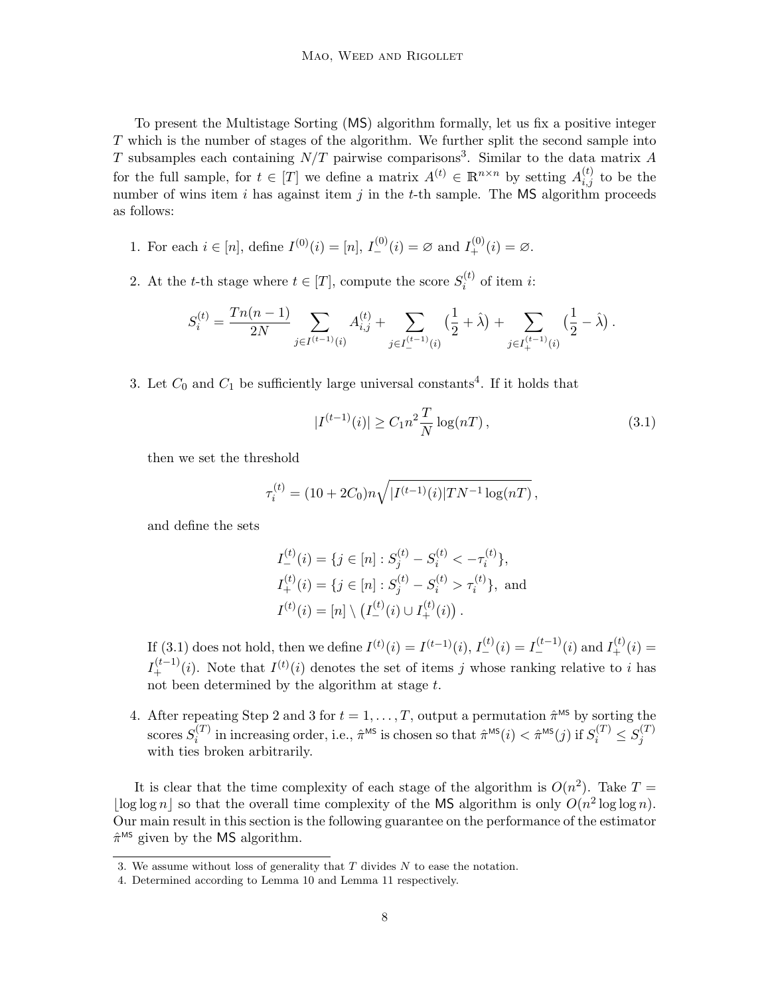To present the Multistage Sorting (MS) algorithm formally, let us fix a positive integer T which is the number of stages of the algorithm. We further split the second sample into T subsamples each containing  $N/T$  pairwise comparisons<sup>[3](#page-7-0)</sup>. Similar to the data matrix A for the full sample, for  $t \in [T]$  we define a matrix  $A^{(t)} \in \mathbb{R}^{n \times n}$  by setting  $A_{i,j}^{(t)}$  to be the number of wins item i has against item j in the t-th sample. The  $MS$  algorithm proceeds as follows:

- 1. For each  $i \in [n]$ , define  $I^{(0)}(i) = [n]$ ,  $I^{(0)}_{-}(i) = \emptyset$  and  $I^{(0)}_{+}(i) = \emptyset$ .
- 2. At the t-th stage where  $t \in [T]$ , compute the score  $S_i^{(t)}$  $i^{(i)}$  of item *i*:

$$
S_i^{(t)} = \frac{Tn(n-1)}{2N} \sum_{j \in I^{(t-1)}(i)} A_{i,j}^{(t)} + \sum_{j \in I_{-}^{(t-1)}(i)} \left(\frac{1}{2} + \hat{\lambda}\right) + \sum_{j \in I_{+}^{(t-1)}(i)} \left(\frac{1}{2} - \hat{\lambda}\right).
$$

3. Let  $C_0$  and  $C_1$  be sufficiently large universal constants<sup>[4](#page-7-1)</sup>. If it holds that

<span id="page-7-2"></span>
$$
|I^{(t-1)}(i)| \ge C_1 n^2 \frac{T}{N} \log(nT), \qquad (3.1)
$$

then we set the threshold

$$
\tau_i^{(t)} = (10 + 2C_0)n\sqrt{|I^{(t-1)}(i)|TN^{-1}\log(nT)},
$$

and define the sets

$$
I_{-}^{(t)}(i) = \{j \in [n] : S_j^{(t)} - S_i^{(t)} < -\tau_i^{(t)}\},
$$
  
\n
$$
I_{+}^{(t)}(i) = \{j \in [n] : S_j^{(t)} - S_i^{(t)} > \tau_i^{(t)}\}, \text{ and}
$$
  
\n
$$
I^{(t)}(i) = [n] \setminus (I_{-}^{(t)}(i) \cup I_{+}^{(t)}(i)).
$$

If [\(3.1\)](#page-7-2) does not hold, then we define  $I^{(t)}(i) = I^{(t-1)}(i)$ ,  $I^{(t)}_-(i) = I^{(t-1)}_-(i)$  and  $I^{(t)}_+(i) =$  $I_{+}^{(t-1)}(i)$ . Note that  $I^{(t)}(i)$  denotes the set of items j whose ranking relative to i has not been determined by the algorithm at stage  $t$ .

4. After repeating Step 2 and 3 for  $t = 1, \ldots, T$ , output a permutation  $\hat{\pi}^{\text{MS}}$  by sorting the scores  $S_i^{(T)}$  $\hat{\pi}^{(T)}$  in increasing order, i.e.,  $\hat{\pi}^{\text{MS}}$  is chosen so that  $\hat{\pi}^{\text{MS}}(i) < \hat{\pi}^{\text{MS}}(j)$  if  $S_i^{(T)} \leq S_j^{(T)}$ j with ties broken arbitrarily.

It is clear that the time complexity of each stage of the algorithm is  $O(n^2)$ . Take  $T =$  $\log \log n$  so that the overall time complexity of the MS algorithm is only  $O(n^2 \log \log n)$ . Our main result in this section is the following guarantee on the performance of the estimator  $\hat{\pi}^{\text{MS}}$  given by the MS algorithm.

<span id="page-7-3"></span><span id="page-7-0"></span><sup>3.</sup> We assume without loss of generality that T divides N to ease the notation.

<span id="page-7-1"></span><sup>4.</sup> Determined according to Lemma [10](#page-19-0) and Lemma [11](#page-20-0) respectively.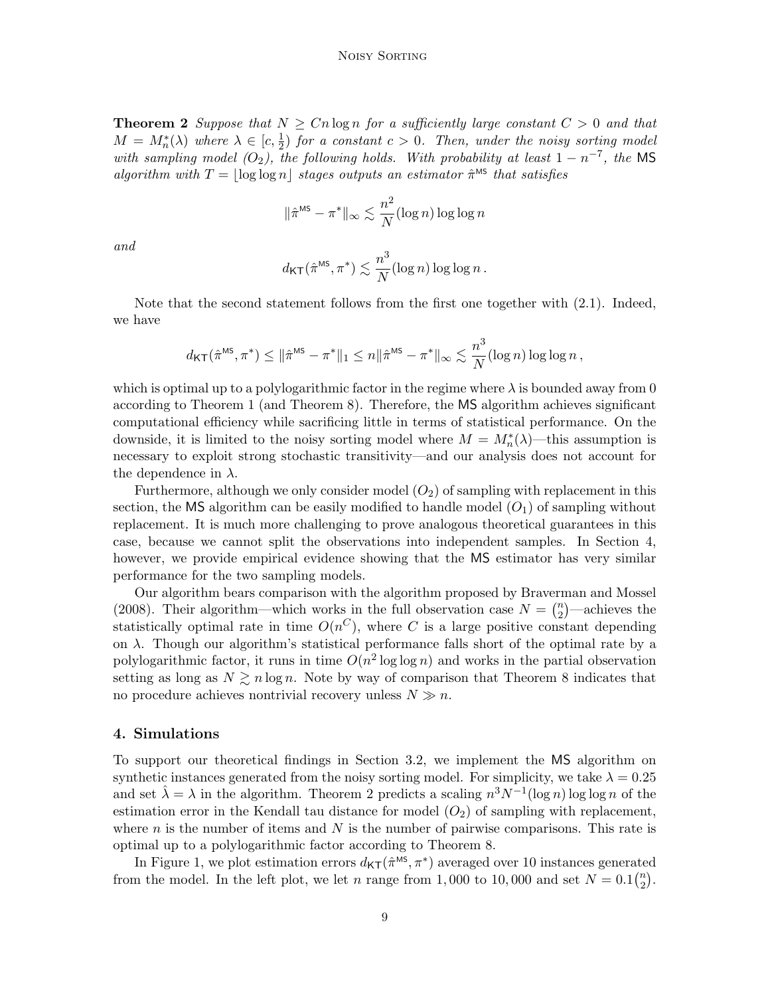**Theorem 2** Suppose that  $N \geq Cn \log n$  for a sufficiently large constant  $C > 0$  and that  $M = M_n^*(\lambda)$  where  $\lambda \in [c, \frac{1}{2})$  for a constant  $c > 0$ . Then, under the noisy sorting model with sampling model  $(O_2)$  $(O_2)$  $(O_2)$ , the following holds. With probability at least  $1 - n^{-7}$ , the MS algorithm with  $T = |\log \log n|$  stages outputs an estimator  $\hat{\pi}^{\text{MS}}$  that satisfies

$$
\|\hat{\pi}^{\text{MS}} - \pi^*\|_{\infty} \lesssim \frac{n^2}{N} (\log n) \log \log n
$$

and

$$
d_{\mathsf{KT}}(\hat{\pi}^{\mathsf{MS}}, \pi^*) \lesssim \frac{n^3}{N} (\log n) \log \log n \,.
$$

Note that the second statement follows from the first one together with [\(2.1\)](#page-4-3). Indeed, we have

$$
d_{\mathsf{KT}}(\hat{\pi}^{\mathsf{MS}}, \pi^*) \leq \|\hat{\pi}^{\mathsf{MS}} - \pi^*\|_1 \leq n \|\hat{\pi}^{\mathsf{MS}} - \pi^*\|_{\infty} \lesssim \frac{n^3}{N} (\log n) \log \log n,
$$

which is optimal up to a polylogarithmic factor in the regime where  $\lambda$  is bounded away from 0 according to Theorem [1](#page-5-0) (and Theorem [8\)](#page-17-0). Therefore, the MS algorithm achieves significant computational efficiency while sacrificing little in terms of statistical performance. On the downside, it is limited to the noisy sorting model where  $M = M_n^*(\lambda)$ —this assumption is necessary to exploit strong stochastic transitivity—and our analysis does not account for the dependence in  $\lambda$ .

Furthermore, although we only consider model  $(O_2)$  $(O_2)$  $(O_2)$  of sampling with replacement in this section, the MS algorithm can be easily modified to handle model  $(O_1)$  $(O_1)$  $(O_1)$  of sampling without replacement. It is much more challenging to prove analogous theoretical guarantees in this case, because we cannot split the observations into independent samples. In Section [4,](#page-8-0) however, we provide empirical evidence showing that the MS estimator has very similar performance for the two sampling models.

Our algorithm bears comparison with the algorithm proposed by [Braverman and Mossel](#page-23-3) [\(2008\)](#page-23-3). Their algorithm—which works in the full observation case  $N = \binom{n}{2}$  $n_2^2$  —achieves the statistically optimal rate in time  $O(n^C)$ , where C is a large positive constant depending on  $\lambda$ . Though our algorithm's statistical performance falls short of the optimal rate by a polylogarithmic factor, it runs in time  $O(n^2 \log \log n)$  and works in the partial observation setting as long as  $N \geq n \log n$ . Note by way of comparison that Theorem [8](#page-17-0) indicates that no procedure achieves nontrivial recovery unless  $N \gg n$ .

#### <span id="page-8-0"></span>4. Simulations

To support our theoretical findings in Section [3.2,](#page-6-0) we implement the MS algorithm on synthetic instances generated from the noisy sorting model. For simplicity, we take  $\lambda = 0.25$ and set  $\hat{\lambda} = \lambda$  in the algorithm. Theorem [2](#page-7-3) predicts a scaling  $n^3 N^{-1} (\log n) \log \log n$  of the estimation error in the Kendall tau distance for model  $(O_2)$  $(O_2)$  $(O_2)$  of sampling with replacement, where  $n$  is the number of items and  $N$  is the number of pairwise comparisons. This rate is optimal up to a polylogarithmic factor according to Theorem [8.](#page-17-0)

In Figure [1,](#page-9-0) we plot estimation errors  $d_{\mathsf{KT}}(\hat{\pi}^{\text{MS}}, \pi^*)$  averaged over 10 instances generated from the model. In the left plot, we let n range from 1,000 to 10,000 and set  $N = 0.1\binom{n}{2}$  $\binom{n}{2}$ .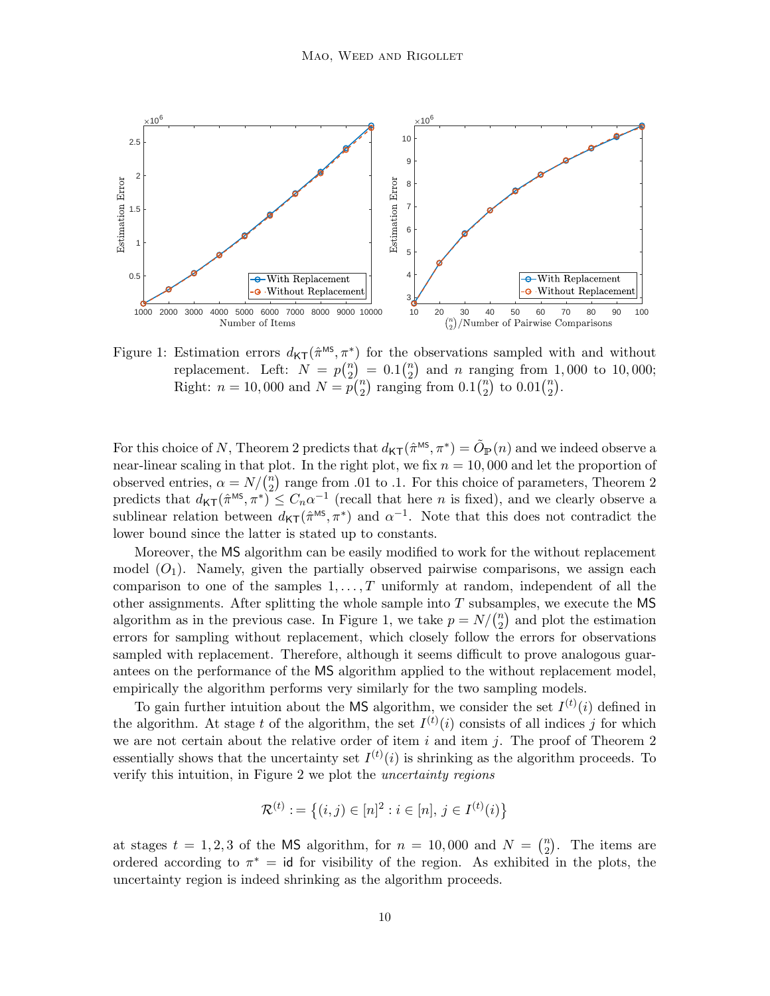

<span id="page-9-0"></span>Figure 1: Estimation errors  $d_{\mathsf{KT}}(\hat{\pi}^{\text{MS}}, \pi^*)$  for the observations sampled with and without replacement. Left:  $N = p\binom{n}{2}$  $\binom{n}{2} = 0.1 \binom{n}{2}$  $n \choose 2$  and *n* ranging from 1,000 to 10,000; Right:  $n = 10,000$  and  $N = p\binom{n}{2}$  $n_2$ ) ranging from  $0.1\binom{n}{2}$  $\binom{n}{2}$  to  $0.01\binom{n}{2}$  $\binom{n}{2}$ .

For this choice of N, Theorem [2](#page-7-3) predicts that  $d_{\mathsf{KT}}(\hat{\pi}^{\text{MS}}, \pi^*) = \tilde{O}_{\mathbb{P}}(n)$  and we indeed observe a near-linear scaling in that plot. In the right plot, we fix  $n = 10,000$  and let the proportion of observed entries,  $\alpha = N/\binom{n}{2}$  $n<sub>2</sub>$ ) range from .01 to .1. For this choice of parameters, Theorem [2](#page-7-3) predicts that  $d_{\mathsf{KT}}(\hat{\pi}^{\text{MS}}, \pi^*) \leq C_n \alpha^{-1}$  (recall that here *n* is fixed), and we clearly observe a sublinear relation between  $d_{\mathsf{KT}}(\hat{\pi}^{\text{MS}}, \pi^*)$  and  $\alpha^{-1}$ . Note that this does not contradict the lower bound since the latter is stated up to constants.

Moreover, the MS algorithm can be easily modified to work for the without replacement model  $(O_1)$  $(O_1)$  $(O_1)$ . Namely, given the partially observed pairwise comparisons, we assign each comparison to one of the samples  $1, \ldots, T$  uniformly at random, independent of all the other assignments. After splitting the whole sample into  $T$  subsamples, we execute the MS algorithm as in the previous case. In Figure [1,](#page-9-0) we take  $p = N/(n^2)$  $n_2$  and plot the estimation errors for sampling without replacement, which closely follow the errors for observations sampled with replacement. Therefore, although it seems difficult to prove analogous guarantees on the performance of the MS algorithm applied to the without replacement model, empirically the algorithm performs very similarly for the two sampling models.

To gain further intuition about the MS algorithm, we consider the set  $I^{(t)}(i)$  defined in the algorithm. At stage t of the algorithm, the set  $I^{(t)}(i)$  consists of all indices j for which we are not certain about the relative order of item  $i$  and item  $j$ . The proof of Theorem [2](#page-7-3) essentially shows that the uncertainty set  $I^{(t)}(i)$  is shrinking as the algorithm proceeds. To verify this intuition, in Figure [2](#page-10-2) we plot the uncertainty regions

$$
\mathcal{R}^{(t)} := \{(i, j) \in [n]^2 : i \in [n], j \in I^{(t)}(i)\}
$$

at stages  $t = 1, 2, 3$  of the MS algorithm, for  $n = 10,000$  and  $N = \binom{n}{2}$  $n \choose 2$ . The items are ordered according to  $\pi^* = id$  for visibility of the region. As exhibited in the plots, the uncertainty region is indeed shrinking as the algorithm proceeds.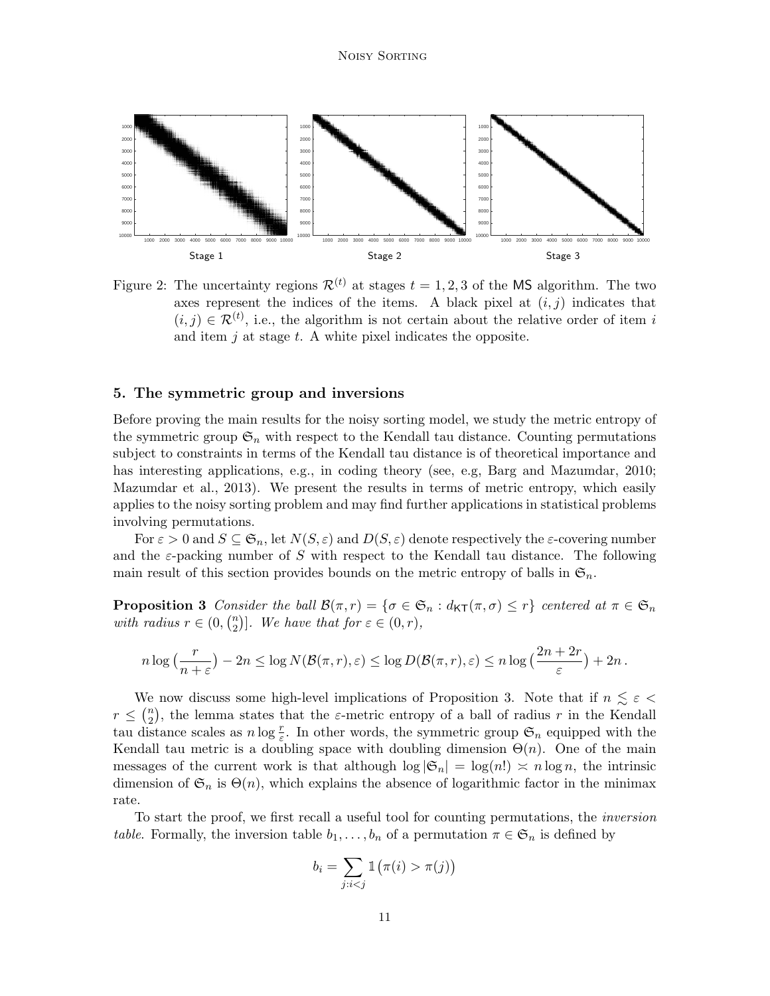

<span id="page-10-2"></span>Figure 2: The uncertainty regions  $\mathcal{R}^{(t)}$  at stages  $t = 1, 2, 3$  of the MS algorithm. The two axes represent the indices of the items. A black pixel at  $(i, j)$  indicates that  $(i, j) \in \mathcal{R}^{(t)}$ , i.e., the algorithm is not certain about the relative order of item i and item  $j$  at stage  $t$ . A white pixel indicates the opposite.

### <span id="page-10-0"></span>5. The symmetric group and inversions

Before proving the main results for the noisy sorting model, we study the metric entropy of the symmetric group  $\mathfrak{S}_n$  with respect to the Kendall tau distance. Counting permutations subject to constraints in terms of the Kendall tau distance is of theoretical importance and has interesting applications, e.g., in coding theory (see, e.g, [Barg and Mazumdar, 2010;](#page-23-13) [Mazumdar et al., 2013\)](#page-25-11). We present the results in terms of metric entropy, which easily applies to the noisy sorting problem and may find further applications in statistical problems involving permutations.

For  $\varepsilon > 0$  and  $S \subseteq \mathfrak{S}_n$ , let  $N(S, \varepsilon)$  and  $D(S, \varepsilon)$  denote respectively the  $\varepsilon$ -covering number and the  $\varepsilon$ -packing number of S with respect to the Kendall tau distance. The following main result of this section provides bounds on the metric entropy of balls in  $\mathfrak{S}_n$ .

<span id="page-10-1"></span>**Proposition 3** Consider the ball  $\mathcal{B}(\pi,r) = \{\sigma \in \mathfrak{S}_n : d_{\mathsf{KT}}(\pi,\sigma) \leq r\}$  centered at  $\pi \in \mathfrak{S}_n$ with radius  $r \in (0, {n \choose 2})$  ${2 \choose 2}$ . We have that for  $\varepsilon \in (0, r)$ ,

$$
n \log\left(\frac{r}{n+\varepsilon}\right) - 2n \le \log N(\mathcal{B}(\pi,r),\varepsilon) \le \log D(\mathcal{B}(\pi,r),\varepsilon) \le n \log\left(\frac{2n+2r}{\varepsilon}\right) + 2n.
$$

We now discuss some high-level implications of Proposition [3.](#page-10-1) Note that if  $n \leq \varepsilon$  $r \leq \binom{n}{2}$  $\binom{n}{2}$ , the lemma states that the  $\varepsilon$ -metric entropy of a ball of radius r in the Kendall tau distance scales as  $n \log \frac{r}{\varepsilon}$ . In other words, the symmetric group  $\mathfrak{S}_n$  equipped with the Kendall tau metric is a doubling space with doubling dimension  $\Theta(n)$ . One of the main messages of the current work is that although  $\log |\mathfrak{S}_n| = \log(n!) \approx n \log n$ , the intrinsic dimension of  $\mathfrak{S}_n$  is  $\Theta(n)$ , which explains the absence of logarithmic factor in the minimax rate.

To start the proof, we first recall a useful tool for counting permutations, the inversion table. Formally, the inversion table  $b_1, \ldots, b_n$  of a permutation  $\pi \in \mathfrak{S}_n$  is defined by

$$
b_i = \sum_{j:i \pi(j)\big)
$$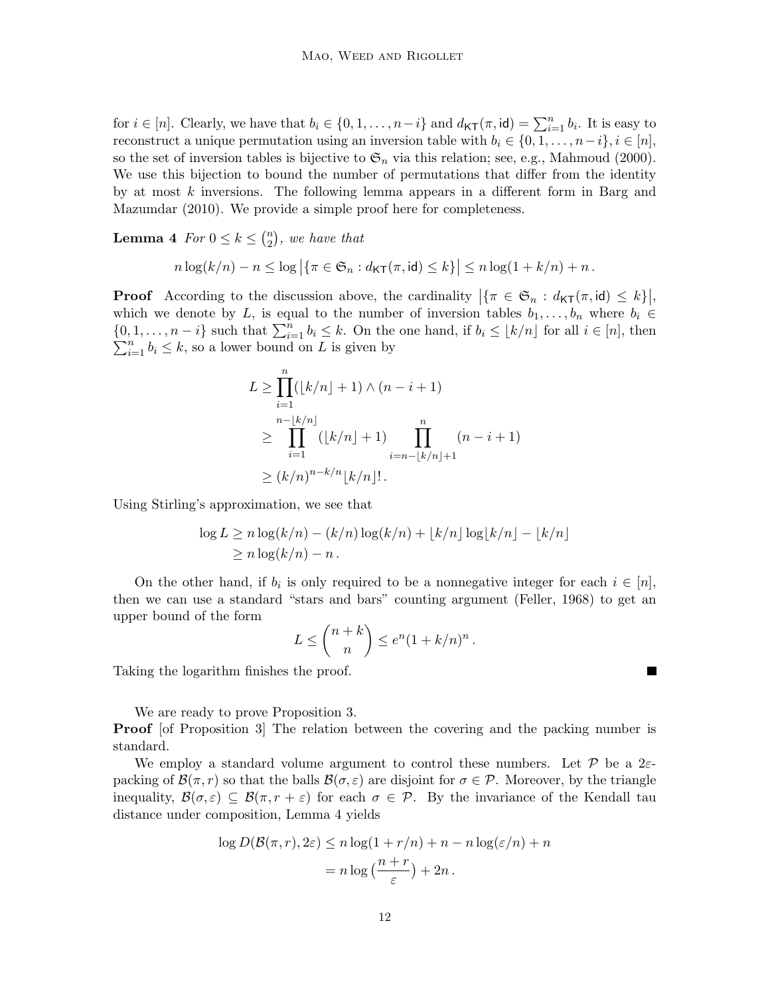for  $i \in [n]$ . Clearly, we have that  $b_i \in \{0, 1, \ldots, n-i\}$  and  $d_{\mathsf{KT}}(\pi, id) = \sum_{i=1}^n b_i$ . It is easy to reconstruct a unique permutation using an inversion table with  $b_i \in \{0, 1, \ldots, n-i\}, i \in [n],$ so the set of inversion tables is bijective to  $\mathfrak{S}_n$  via this relation; see, e.g., [Mahmoud](#page-24-12) [\(2000\)](#page-24-12). We use this bijection to bound the number of permutations that differ from the identity by at most k inversions. The following lemma appears in a different form in [Barg and](#page-23-13) [Mazumdar](#page-23-13) [\(2010\)](#page-23-13). We provide a simple proof here for completeness.

<span id="page-11-0"></span>**Lemma 4** For  $0 \leq k \leq {n \choose 2}$  $\binom{n}{2}$ , we have that

$$
n\log(k/n)-n\leq \log\left|\left\{\pi\in\mathfrak{S}_n:d_{\mathsf{KT}}(\pi,\mathsf{id})\leq k\right\}\right|\leq n\log(1+k/n)+n.
$$

**Proof** According to the discussion above, the cardinality  $|\{\pi \in \mathfrak{S}_n : d_{\mathsf{KT}}(\pi, \mathsf{id}) \leq k\}|$ , which we denote by L, is equal to the number of inversion tables  $b_1, \ldots, b_n$  where  $b_i \in$  $\{0, 1, \ldots, n-i\}$  such that  $\sum_{i=1}^{n} b_i \leq k$ . On the one hand, if  $b_i \leq \lfloor k/n \rfloor$  for all  $i \in [n]$ , then  $\sum_{i=1}^{n} b_i \leq k$ , so a lower bound on L is given by

$$
L \ge \prod_{i=1}^{n} (\lfloor k/n \rfloor + 1) \wedge (n - i + 1)
$$
  
\n
$$
\ge \prod_{i=1}^{n - \lfloor k/n \rfloor} (\lfloor k/n \rfloor + 1) \prod_{i=n-\lfloor k/n \rfloor + 1}^{n} (n - i + 1)
$$
  
\n
$$
\ge (k/n)^{n-k/n} \lfloor k/n \rfloor!.
$$

Using Stirling's approximation, we see that

$$
\log L \ge n \log(k/n) - (k/n) \log(k/n) + \lfloor k/n \rfloor \log\lfloor k/n \rfloor - \lfloor k/n \rfloor
$$
  
 
$$
\ge n \log(k/n) - n.
$$

On the other hand, if  $b_i$  is only required to be a nonnegative integer for each  $i \in [n]$ , then we can use a standard "stars and bars" counting argument [\(Feller, 1968\)](#page-24-13) to get an upper bound of the form

$$
L \leq {n+k \choose n} \leq e^n (1+k/n)^n.
$$

Taking the logarithm finishes the proof.

We are ready to prove Proposition [3.](#page-10-1)

**Proof** [of Proposition [3\]](#page-10-1) The relation between the covering and the packing number is standard.

We employ a standard volume argument to control these numbers. Let  $\mathcal P$  be a 2 $\varepsilon$ packing of  $\mathcal{B}(\pi,r)$  so that the balls  $\mathcal{B}(\sigma,\varepsilon)$  are disjoint for  $\sigma \in \mathcal{P}$ . Moreover, by the triangle inequality,  $\mathcal{B}(\sigma,\varepsilon) \subseteq \mathcal{B}(\pi,r+\varepsilon)$  for each  $\sigma \in \mathcal{P}$ . By the invariance of the Kendall tau distance under composition, Lemma [4](#page-11-0) yields

$$
\log D(\mathcal{B}(\pi, r), 2\varepsilon) \le n \log(1 + r/n) + n - n \log(\varepsilon/n) + n
$$

$$
= n \log \left(\frac{n+r}{\varepsilon}\right) + 2n.
$$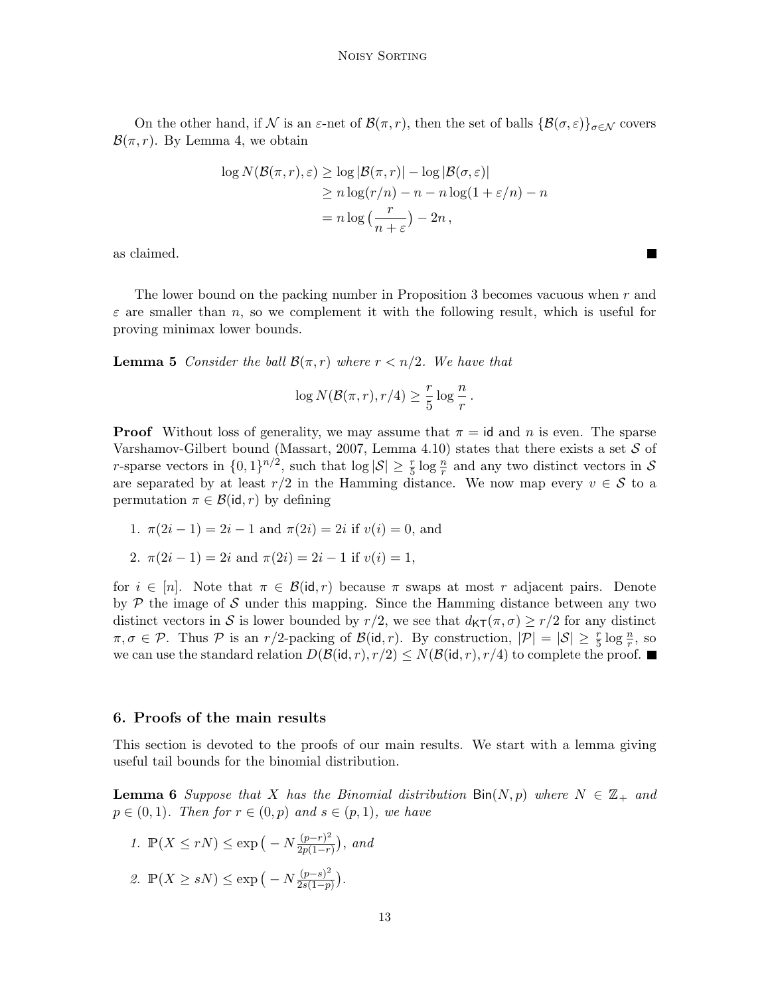On the other hand, if N is an  $\varepsilon$ -net of  $\mathcal{B}(\pi,r)$ , then the set of balls  $\{\mathcal{B}(\sigma,\varepsilon)\}_{\sigma\in\mathcal{N}}$  covers  $\mathcal{B}(\pi,r)$ . By Lemma [4,](#page-11-0) we obtain

$$
\log N(\mathcal{B}(\pi, r), \varepsilon) \ge \log |\mathcal{B}(\pi, r)| - \log |\mathcal{B}(\sigma, \varepsilon)|
$$
  
\n
$$
\ge n \log(r/n) - n - n \log(1 + \varepsilon/n) - n
$$
  
\n
$$
= n \log \left(\frac{r}{n + \varepsilon}\right) - 2n,
$$

as claimed.

The lower bound on the packing number in Proposition [3](#page-10-1) becomes vacuous when r and  $\varepsilon$  are smaller than n, so we complement it with the following result, which is useful for proving minimax lower bounds.

<span id="page-12-2"></span>**Lemma 5** Consider the ball  $\mathcal{B}(\pi,r)$  where  $r < n/2$ . We have that

$$
\log N(\mathcal{B}(\pi,r), r/4) \ge \frac{r}{5} \log \frac{n}{r}.
$$

**Proof** Without loss of generality, we may assume that  $\pi = id$  and n is even. The sparse Varshamov-Gilbert bound [\(Massart, 2007,](#page-24-14) Lemma 4.10) states that there exists a set  $S$  of r-sparse vectors in  $\{0,1\}^{n/2}$ , such that  $\log|\mathcal{S}| \geq \frac{r}{5} \log \frac{n}{r}$  and any two distinct vectors in S are separated by at least  $r/2$  in the Hamming distance. We now map every  $v \in \mathcal{S}$  to a permutation  $\pi \in \mathcal{B}(\text{id}, r)$  by defining

1.  $\pi(2i-1) = 2i-1$  and  $\pi(2i) = 2i$  if  $v(i) = 0$ , and

2. 
$$
\pi(2i-1) = 2i
$$
 and  $\pi(2i) = 2i-1$  if  $v(i) = 1$ ,

for  $i \in [n]$ . Note that  $\pi \in \mathcal{B}(\mathsf{id}, r)$  because  $\pi$  swaps at most r adjacent pairs. Denote by  $P$  the image of S under this mapping. Since the Hamming distance between any two distinct vectors in S is lower bounded by  $r/2$ , we see that  $d_{\mathsf{KT}}(\pi,\sigma) \geq r/2$  for any distinct  $\pi, \sigma \in \mathcal{P}$ . Thus  $\mathcal P$  is an  $r/2$ -packing of  $\mathcal B(\mathsf{id}, r)$ . By construction,  $|\mathcal P| = |\mathcal S| \ge \frac{r}{5} \log \frac{n}{r}$ , so we can use the standard relation  $D(\mathcal{B}(\mathsf{id}, r), r/2) \leq N(\mathcal{B}(\mathsf{id}, r), r/4)$  to complete the proof.

#### <span id="page-12-0"></span>6. Proofs of the main results

This section is devoted to the proofs of our main results. We start with a lemma giving useful tail bounds for the binomial distribution.

<span id="page-12-1"></span>**Lemma 6** Suppose that X has the Binomial distribution  $\text{Bin}(N, p)$  where  $N \in \mathbb{Z}_+$  and  $p \in (0,1)$ . Then for  $r \in (0,p)$  and  $s \in (p,1)$ , we have

1. 
$$
\mathbb{P}(X \le rN) \le \exp(-N \frac{(p-r)^2}{2p(1-r)}),
$$
 and  
2.  $\mathbb{P}(X \ge sN) \le \exp(-N \frac{(p-s)^2}{2s(1-p)}).$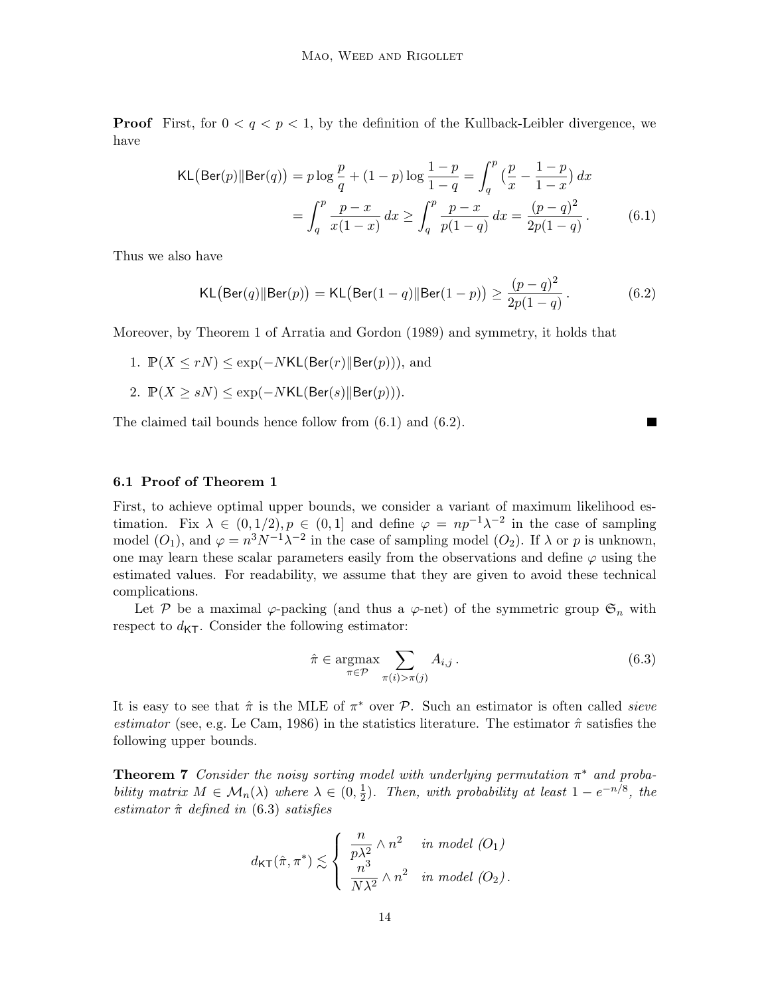**Proof** First, for  $0 < q < p < 1$ , by the definition of the Kullback-Leibler divergence, we have

KL(Ber(p)||Ber(q)) = 
$$
p \log \frac{p}{q} + (1-p) \log \frac{1-p}{1-q} = \int_q^p \left(\frac{p}{x} - \frac{1-p}{1-x}\right) dx
$$
  
= 
$$
\int_q^p \frac{p-x}{x(1-x)} dx \ge \int_q^p \frac{p-x}{p(1-q)} dx = \frac{(p-q)^2}{2p(1-q)}.
$$
 (6.1)

Thus we also have

<span id="page-13-2"></span>
$$
KL\big(\text{Ber}(q) \| \text{Ber}(p)\big) = KL\big(\text{Ber}(1-q) \| \text{Ber}(1-p)\big) \ge \frac{(p-q)^2}{2p(1-q)}.
$$
\n(6.2)

Moreover, by Theorem 1 of [Arratia and Gordon](#page-23-14) [\(1989\)](#page-23-14) and symmetry, it holds that

- 1.  $\mathbb{P}(X \leq rN) \leq \exp(-NKL(\text{Ber}(r)||\text{Ber}(p))),$  and
- 2.  $\mathbb{P}(X \geq sN) \leq \exp(-NKL(\text{Ber}(s)||\text{Ber}(p))).$

The claimed tail bounds hence follow from [\(6.1\)](#page-13-1) and [\(6.2\)](#page-13-2).

#### 6.1 Proof of Theorem [1](#page-5-0)

First, to achieve optimal upper bounds, we consider a variant of maximum likelihood estimation. Fix  $\lambda \in (0,1/2), p \in (0,1]$  and define  $\varphi = np^{-1}\lambda^{-2}$  in the case of sampling model  $(O_1)$  $(O_1)$  $(O_1)$ , and  $\varphi = n^3 N^{-1} \lambda^{-2}$  in the case of sampling model  $(O_2)$ . If  $\lambda$  or p is unknown, one may learn these scalar parameters easily from the observations and define  $\varphi$  using the estimated values. For readability, we assume that they are given to avoid these technical complications.

Let P be a maximal  $\varphi$ -packing (and thus a  $\varphi$ -net) of the symmetric group  $\mathfrak{S}_n$  with respect to  $d_{\text{KT}}$ . Consider the following estimator:

<span id="page-13-3"></span>
$$
\hat{\pi} \in \underset{\pi \in \mathcal{P}}{\operatorname{argmax}} \sum_{\pi(i) > \pi(j)} A_{i,j} \,. \tag{6.3}
$$

<span id="page-13-1"></span>П

It is easy to see that  $\hat{\pi}$  is the MLE of  $\pi^*$  over  $P$ . Such an estimator is often called *sieve* estimator (see, e.g. [Le Cam, 1986\)](#page-24-15) in the statistics literature. The estimator  $\hat{\pi}$  satisfies the following upper bounds.

<span id="page-13-0"></span>**Theorem 7** Consider the noisy sorting model with underlying permutation  $\pi^*$  and probability matrix  $M \in \mathcal{M}_n(\lambda)$  where  $\lambda \in (0, \frac{1}{2})$  $\frac{1}{2}$ ). Then, with probability at least  $1 - e^{-n/8}$ , the estimator  $\hat{\pi}$  defined in [\(6.3\)](#page-13-3) satisfies

$$
d_{\mathsf{KT}}(\hat{\pi}, \pi^*) \lesssim \left\{ \begin{array}{ll} \frac{n}{p\lambda^2} \wedge n^2 & \text{ in model } (O_1) \\ \frac{n^3}{N\lambda^2} \wedge n^2 & \text{ in model } (O_2). \end{array} \right.
$$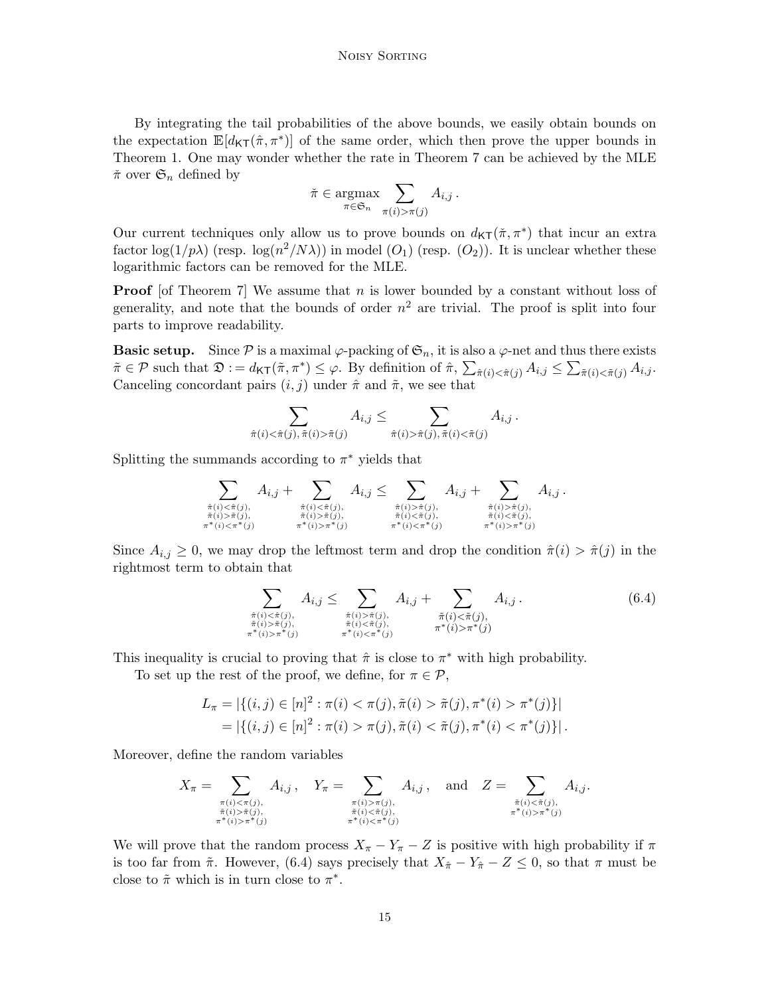By integrating the tail probabilities of the above bounds, we easily obtain bounds on the expectation  $\mathbb{E}[d_{\mathsf{KT}}(\hat{\pi}, \pi^*)]$  of the same order, which then prove the upper bounds in Theorem [1.](#page-5-0) One may wonder whether the rate in Theorem [7](#page-13-0) can be achieved by the MLE  $\check{\pi}$  over  $\mathfrak{S}_n$  defined by

$$
\tilde{\pi} \in \underset{\pi \in \mathfrak{S}_n}{\operatorname{argmax}} \sum_{\pi(i) > \pi(j)} A_{i,j} \, .
$$

Our current techniques only allow us to prove bounds on  $d_{\mathsf{KT}}(\pi, \pi^*)$  that incur an extra factor  $\log(1/p\lambda)$  (resp.  $\log(n^2/N\lambda)$ ) in model  $(O_1)$  $(O_1)$  $(O_1)$  (resp.  $(O_2)$ ). It is unclear whether these logarithmic factors can be removed for the MLE.

**Proof** [of Theorem [7\]](#page-13-0) We assume that  $n$  is lower bounded by a constant without loss of generality, and note that the bounds of order  $n^2$  are trivial. The proof is split into four parts to improve readability.

**Basic setup.** Since  $\mathcal P$  is a maximal  $\varphi$ -packing of  $\mathfrak{S}_n$ , it is also a  $\varphi$ -net and thus there exists  $\tilde{\pi} \in \mathcal{P}$  such that  $\mathfrak{D} := d_{\mathsf{KT}}(\tilde{\pi}, \pi^*) \leq \varphi$ . By definition of  $\hat{\pi}, \sum_{\tilde{\pi}(i) < \hat{\pi}(j)} A_{i,j} \leq \sum_{\tilde{\pi}(i) < \tilde{\pi}(j)} A_{i,j}$ . Canceling concordant pairs  $(i, j)$  under  $\hat{\pi}$  and  $\tilde{\pi}$ , we see that

$$
\sum_{\tilde{\pi}(i) < \tilde{\pi}(j), \tilde{\pi}(i) > \tilde{\pi}(j)} A_{i,j} \leq \sum_{\tilde{\pi}(i) > \tilde{\pi}(j), \tilde{\pi}(i) < \tilde{\pi}(j)} A_{i,j}.
$$

Splitting the summands according to  $\pi^*$  yields that

$$
\sum_{\substack{\hat{\pi}(i) < \hat{\pi}(j), \\ \tilde{\pi}(i) > \tilde{\pi}(j), \\ \pi^*(i) < \pi^*(j) \\ \pi^*(i) < \pi^*(j) \\ \pi^*(i) > \pi^*(j) \\ \pi^*(i) > \pi^*(j) \\ \pi^*(i) > \pi^*(j) \\ \pi^*(i) > \pi^*(j) \\ \pi^*(i) < \pi^*(j) \\ \pi^*(i) < \pi^*(j) \\ \pi^*(i) < \pi^*(j) \\ \pi^*(i) < \pi^*(j) \\ \pi^*(i) < \pi^*(j) \\ \pi^*(i) < \pi^*(j) \\ \pi^*(i) > \pi^*(j) \\ \pi^*(i) > \pi^*(j) \\ \pi^*(i) > \pi^*(j) \\ \pi^*(i) < \pi^*(j) \\ \pi^*(i) < \pi^*(j) \\ \pi^*(i) < \pi^*(j) \\ \pi^*(i) < \pi^*(j) \\ \pi^*(i) < \pi^*(j) \\ \pi^*(i) < \pi^*(j) \\ \pi^*(i) < \pi^*(j) \\ \pi^*(i) < \pi^*(j) \\ \pi^*(i) < \pi^*(j) \\ \pi^*(i) < \pi^*(j) \\ \pi^*(i) < \pi^*(j) \\ \pi^*(i) < \pi^*(j) \\ \pi^*(i) < \pi^*(j) \\ \pi^*(i) < \pi^*(j) \\ \pi^*(i) < \pi^*(j) \\ \pi^*(i) < \pi^*(j) \\ \pi^*(i) < \pi^*(j) \\ \pi^*(i) < \pi^*(j) \\ \pi^*(i) < \pi^*(j) \\ \pi^*(i) < \pi^*(j) \\ \pi^*(i) < \pi^*(j) \\ \pi^*(i) < \pi^*(j) \\ \pi^*(i) < \pi^*(j) \\ \pi^*(i) < \pi^*(j) \\ \pi^*(i) < \pi^*(j) \\ \pi^*(i) < \pi^*(j) \\ \pi^*(i) < \pi^*(j) \\ \pi^*(i) < \pi^*(j) \\ \pi^*(i) < \pi^*(j) \\ \pi^*(i) < \pi^
$$

Since  $A_{i,j} \geq 0$ , we may drop the leftmost term and drop the condition  $\hat{\pi}(i) > \hat{\pi}(j)$  in the rightmost term to obtain that

<span id="page-14-0"></span>
$$
\sum_{\substack{\hat{\pi}(i) < \hat{\pi}(j), \\ \tilde{\pi}(i) > \tilde{\pi}(j), \\ \pi^*(i) > \pi^*(j) \\ \pi^*(i) > \pi^*(j) \\ \pi^*(i) < \pi^*(j) \\ \pi^*(i) < \pi^*(j) \\ \pi^*(i) < \pi^*(j) \\ \pi^*(i) < \pi^*(j) \\ \pi^*(i) > \pi^*(j) \end{pmatrix} A_{i,j} . \tag{6.4}
$$

This inequality is crucial to proving that  $\hat{\pi}$  is close to  $\pi^*$  with high probability.

To set up the rest of the proof, we define, for  $\pi \in \mathcal{P}$ ,

$$
L_{\pi} = |\{(i, j) \in [n]^2 : \pi(i) < \pi(j), \tilde{\pi}(i) > \tilde{\pi}(j), \pi^*(i) > \pi^*(j)\}|
$$
\n
$$
= |\{(i, j) \in [n]^2 : \pi(i) > \pi(j), \tilde{\pi}(i) < \tilde{\pi}(j), \pi^*(i) < \pi^*(j)\}|.
$$

Moreover, define the random variables

$$
X_{\pi} = \sum_{\substack{\pi(i) < \pi(j), \\ \tilde{\pi}(i) > \tilde{\pi}(j), \\ \pi^*(i) > \pi^*(j) \\ \pi^*(i) < \pi^*(j) \\ \pi^*(i) < \pi^*(j) \\ \pi^*(i) < \pi^*(j) \\ \pi^*(i) < \pi^*(j) \\ \pi^*(i) < \pi^*(j) \end{aligned} A_{i,j} \text{,} \quad \text{and} \quad Z = \sum_{\substack{\tilde{\pi}(i) < \tilde{\pi}(j), \\ \pi^*(i) > \pi^*(j) \\ \pi^*(i) > \pi^*(j) \\ \pi^*(i) < \pi^*(j) \\ \pi^*(i) < \pi^*(j) \\ \pi^*(i) < \pi^*(j) \\ \pi^*(i) < \pi^*(j) \\ \pi^*(i) < \pi^*(j) \\ \pi^*(i) < \pi^*(j) \\ \pi^*(i) < \pi^*(j) \\ \pi^*(i) < \pi^*(j) \\ \pi^*(i) < \pi^*(j) \\ \pi^*(i) < \pi^*(j) \\ \pi^*(i) < \pi^*(j) \\ \pi^*(i) < \pi^*(j) \\ \pi^*(i) < \pi^*(j) \\ \pi^*(i) < \pi^*(j) \\ \pi^*(i) < \pi^*(j) \\ \pi^*(i) < \pi^*(j) \\ \pi^*(i) < \pi^*(j) \\ \pi^*(i) < \pi^*(j) \\ \pi^*(i) < \pi^*(j) \\ \pi^*(i) < \pi^*(j) \\ \pi^*(i) < \pi^*(j) \\ \pi^*(i) < \pi^*(j) \\ \pi^*(i) < \pi^*(j) \\ \pi^*(i) < \pi^*(j) \\ \pi^*(i) < \pi^*(j) \\ \pi^*(i) < \pi^*(j) \\ \pi^*(i) < \pi^*(j) \\ \pi^*(i) < \pi^*(j) \\ \pi^*(i) < \pi^*(j) \\ \pi^*(i) < \pi^*(j) \\ \pi^*(i) < \pi^*(j) \\ \pi^*(i) < \pi^*(j) \\ \pi^*(i) < \pi^*(j) \\ \pi^*(i) <
$$

We will prove that the random process  $X_{\pi} - Y_{\pi} - Z$  is positive with high probability if  $\pi$ is too far from  $\tilde{\pi}$ . However, [\(6.4\)](#page-14-0) says precisely that  $X_{\hat{\pi}} - Y_{\hat{\pi}} - Z \leq 0$ , so that  $\pi$  must be close to  $\tilde{\pi}$  which is in turn close to  $\pi^*$ .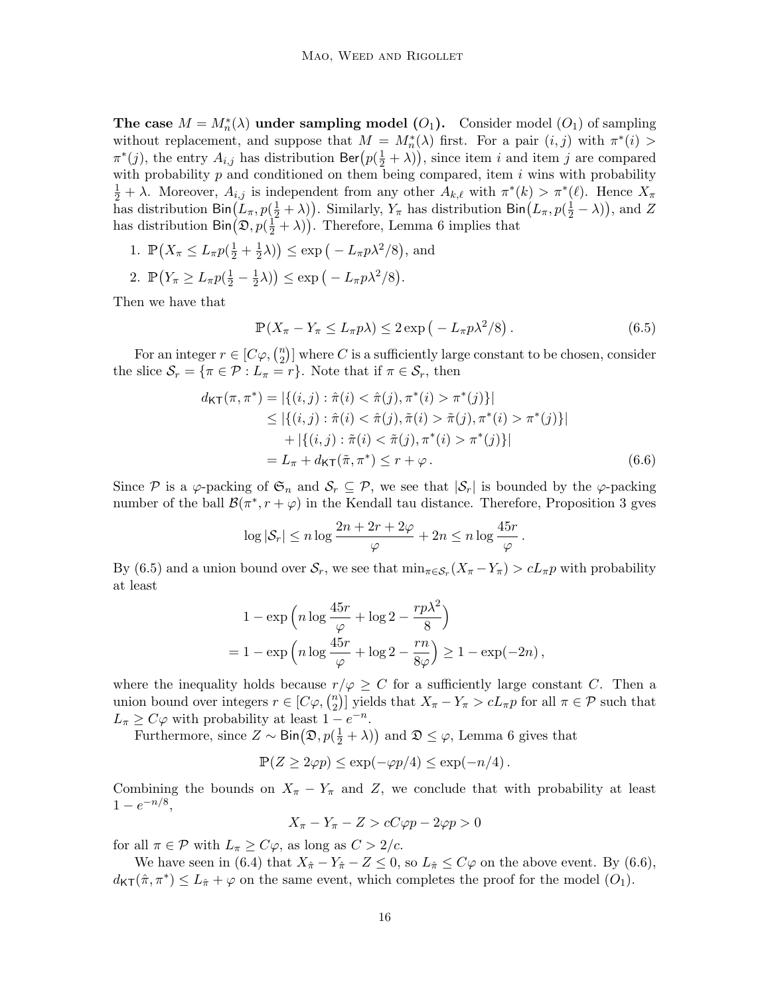The case  $M = M_n^*(\lambda)$  under sampling model  $(O_1)$  $(O_1)$  $(O_1)$ . Consider model  $(O_1)$  of sampling without replacement, and suppose that  $M = M_n^*(\lambda)$  first. For a pair  $(i, j)$  with  $\pi^*(i)$  $\pi^*(j)$ , the entry  $A_{i,j}$  has distribution  $\text{Ber}(p(\frac{1}{2} + \lambda))$ , since item i and item j are compared with probability  $p$  and conditioned on them being compared, item  $i$  wins with probability  $\frac{1}{2} + \lambda$ . Moreover,  $A_{i,j}$  is independent from any other  $A_{k,\ell}$  with  $\pi^*(k) > \pi^*(\ell)$ . Hence  $X_{\pi}$ has distribution  $\text{Bin}(L_\pi, p(\frac{1}{2}+\lambda))$ . Similarly,  $Y_\pi$  has distribution  $\text{Bin}(L_\pi, p(\frac{1}{2}-\lambda))$ , and Z has distribution  $\text{Bin}(\mathfrak{D}, p(\frac{1}{2} + \lambda))$ . Therefore, Lemma [6](#page-12-1) implies that

- 1.  $\mathbb{P}\left(X_{\pi} \leq L_{\pi}p(\frac{1}{2} + \frac{1}{2})\right)$  $(\frac{1}{2}\lambda)$   $\leq$  exp  $(-L_{\pi}p\lambda^2/8)$ , and
- 2.  $\mathbb{P}\left(Y_{\pi} \geq L_{\pi}p\left(\frac{1}{2}-\frac{1}{2}\right)\right)$  $(\frac{1}{2}\lambda)$   $\leq$  exp  $(-L_{\pi}p\lambda^2/8)$ .

Then we have that

<span id="page-15-1"></span><span id="page-15-0"></span>
$$
\mathbb{P}(X_{\pi} - Y_{\pi} \le L_{\pi} p\lambda) \le 2 \exp\left(-L_{\pi} p\lambda^2/8\right). \tag{6.5}
$$

For an integer  $r \in [C\varphi, \binom{n}{2}]$  $\binom{n}{2}$  where C is a sufficiently large constant to be chosen, consider the slice  $S_r = {\pi \in \mathcal{P} : L_{\pi} = r}$ . Note that if  $\pi \in S_r$ , then

$$
d_{\mathsf{KT}}(\pi, \pi^*) = |\{(i, j) : \hat{\pi}(i) < \hat{\pi}(j), \pi^*(i) > \pi^*(j)\}|
$$
\n
$$
\leq |\{(i, j) : \hat{\pi}(i) < \hat{\pi}(j), \tilde{\pi}(i) > \tilde{\pi}(j), \pi^*(i) > \pi^*(j)\}|
$$
\n
$$
+ |\{(i, j) : \tilde{\pi}(i) < \tilde{\pi}(j), \pi^*(i) > \pi^*(j)\}|
$$
\n
$$
= L_{\pi} + d_{\mathsf{KT}}(\tilde{\pi}, \pi^*) \leq r + \varphi. \tag{6.6}
$$

Since P is a  $\varphi$ -packing of  $\mathfrak{S}_n$  and  $\mathcal{S}_r \subseteq \mathcal{P}$ , we see that  $|\mathcal{S}_r|$  is bounded by the  $\varphi$ -packing number of the ball  $\mathcal{B}(\pi^*, r + \varphi)$  in the Kendall tau distance. Therefore, Proposition [3](#page-10-1) gves

$$
\log |\mathcal{S}_r| \leq n \log \frac{2n + 2r + 2\varphi}{\varphi} + 2n \leq n \log \frac{45r}{\varphi}.
$$

By [\(6.5\)](#page-15-0) and a union bound over  $S_r$ , we see that  $\min_{\pi \in S_r} (X_{\pi} - Y_{\pi}) > cL_{\pi}p$  with probability at least

$$
1 - \exp\left(n\log\frac{45r}{\varphi} + \log 2 - \frac{rp\lambda^2}{8}\right)
$$
  
= 
$$
1 - \exp\left(n\log\frac{45r}{\varphi} + \log 2 - \frac{rn}{8\varphi}\right) \ge 1 - \exp(-2n),
$$

where the inequality holds because  $r/\varphi \geq C$  for a sufficiently large constant C. Then a union bound over integers  $r \in [C\varphi, \binom{n}{2}]$ <sup>n</sup><sub>2</sub>)] yields that  $X_{\pi} - Y_{\pi} > cL_{\pi}p$  for all  $\pi \in \mathcal{P}$  such that  $L_{\pi} \geq C\varphi$  with probability at least  $1 - e^{-n}$ .

Furthermore, since  $Z \sim \text{Bin}(\mathfrak{D}, p(\frac{1}{2} + \lambda))$  and  $\mathfrak{D} \leq \varphi$ , Lemma [6](#page-12-1) gives that

$$
\mathbb{P}(Z \ge 2\varphi p) \le \exp(-\varphi p/4) \le \exp(-n/4).
$$

Combining the bounds on  $X_{\pi} - Y_{\pi}$  and Z, we conclude that with probability at least  $1-e^{-n/8},$ 

$$
X_{\pi} - Y_{\pi} - Z > cC\varphi p - 2\varphi p > 0
$$

for all  $\pi \in \mathcal{P}$  with  $L_{\pi} \geq C\varphi$ , as long as  $C > 2/c$ .

We have seen in [\(6.4\)](#page-14-0) that  $X_{\hat{\pi}} - Y_{\hat{\pi}} - Z \leq 0$ , so  $L_{\hat{\pi}} \leq C\varphi$  on the above event. By [\(6.6\)](#page-15-1),  $d_{\text{KT}}(\hat{\pi}, \pi^*) \leq L_{\hat{\pi}} + \varphi$  on the same event, which completes the proof for the model  $(O_1)$  $(O_1)$  $(O_1)$ .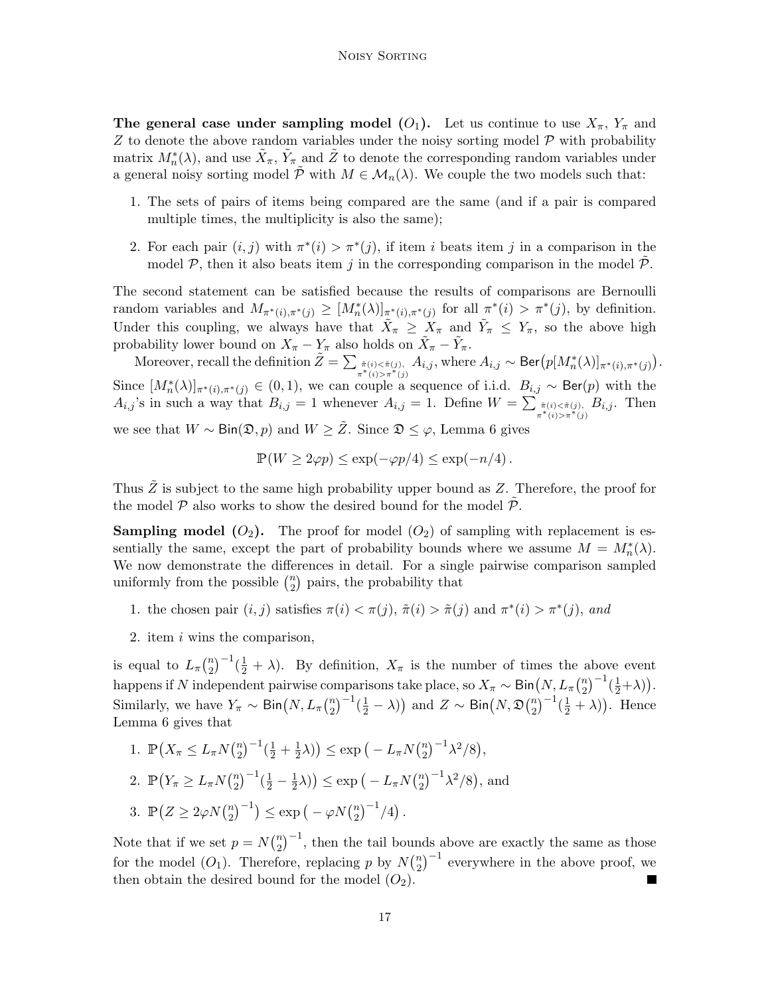The general case under sampling model  $(O_1)$  $(O_1)$  $(O_1)$ . Let us continue to use  $X_{\pi}$ ,  $Y_{\pi}$  and  $Z$  to denote the above random variables under the noisy sorting model  $\mathcal P$  with probability matrix  $M_n^*(\lambda)$ , and use  $\tilde{X}_\pi$ ,  $\tilde{Y}_\pi$  and  $\tilde{Z}$  to denote the corresponding random variables under a general noisy sorting model  $\tilde{\mathcal{P}}$  with  $M \in \mathcal{M}_n(\lambda)$ . We couple the two models such that:

- 1. The sets of pairs of items being compared are the same (and if a pair is compared multiple times, the multiplicity is also the same);
- 2. For each pair  $(i, j)$  with  $\pi^*(i) > \pi^*(j)$ , if item i beats item j in a comparison in the model  $P$ , then it also beats item j in the corresponding comparison in the model  $P$ .

The second statement can be satisfied because the results of comparisons are Bernoulli random variables and  $M_{\pi^*(i),\pi^*(j)} \geq [M_n^*(\lambda)]_{\pi^*(i),\pi^*(j)}$  for all  $\pi^*(i) > \pi^*(j)$ , by definition. Under this coupling, we always have that  $\tilde{X}_{\pi} \geq X_{\pi}$  and  $\tilde{Y}_{\pi} \leq Y_{\pi}$ , so the above high probability lower bound on  $X_{\pi} - Y_{\pi}$  also holds on  $\tilde{X}_{\pi} - \tilde{Y}_{\pi}$ .

Moreover, recall the definition  $\tilde{Z} = \sum_{\substack{\tilde{\pi}(i) < \tilde{\pi}(j), \\ \pi^*(i) > \pi^*(j)}} A_{i,j}$ , where  $A_{i,j} \sim \text{Ber}(p[M_n^*(\lambda)]_{\pi^*(i), \pi^*(j)})$ . Since  $[M_n^*(\lambda)]_{\pi^*(i),\pi^*(j)} \in (0,1)$ , we can couple a sequence of i.i.d.  $B_{i,j} \sim \text{Ber}(p)$  with the  $A_{i,j}$ 's in such a way that  $B_{i,j} = 1$  whenever  $A_{i,j} = 1$ . Define  $W = \sum_{\substack{\tilde{\pi}(i) < \tilde{\pi}(j) \\ \pi^*(i) > \pi^*(j)}} B_{i,j}$ . Then

we see that  $W \sim Bin(\mathfrak{D}, p)$  and  $W \geq \tilde{Z}$ . Since  $\mathfrak{D} \leq \varphi$ , Lemma [6](#page-12-1) gives

$$
\mathbb{P}(W \ge 2\varphi p) \le \exp(-\varphi p/4) \le \exp(-n/4).
$$

Thus  $\tilde{Z}$  is subject to the same high probability upper bound as  $Z$ . Therefore, the proof for the model  $\mathcal P$  also works to show the desired bound for the model  $\mathcal P$ .

**Sampling model ([O](#page-4-2)<sub>2</sub>).** The proof for model (O<sub>2</sub>) of sampling with replacement is essentially the same, except the part of probability bounds where we assume  $M = M_n^*(\lambda)$ . We now demonstrate the differences in detail. For a single pairwise comparison sampled uniformly from the possible  $\binom{n}{2}$  $\binom{n}{2}$  pairs, the probability that

- 1. the chosen pair  $(i, j)$  satisfies  $\pi(i) < \pi(j)$ ,  $\tilde{\pi}(i) > \tilde{\pi}(j)$  and  $\pi^*(i) > \pi^*(j)$ , and
- 2. item i wins the comparison,

is equal to  $L_{\pi}(\frac{n}{2})$  $\binom{n}{2}$  $^{-1}(\frac{1}{2} + \lambda)$ . By definition,  $X_{\pi}$  is the number of times the above event happens if N independent pairwise comparisons take place, so  $X_{\pi}\sim \mathsf{Bin}\big(N,L_{\pi}\binom{n}{2}\big)$  $\binom{n}{2}^{-1}(\frac{1}{2}+\lambda).$ Similarly, we have  $Y_{\pi} \sim \text{Bin}(N, L_{\pi}(\frac{n}{2}))$  $\binom{n}{2}^{-1}(\frac{1}{2}-\lambda)$  and  $Z \sim \mathsf{Bin}\big(N, \mathfrak{D}\big(\frac{n}{2}\big)$  $\binom{n}{2}$ <sup>-1</sup> $(\frac{1}{2} + \lambda)$ ). Hence Lemma [6](#page-12-1) gives that

1. 
$$
\mathbb{P}\left(X_{\pi} \le L_{\pi} N\binom{n}{2}^{-1}(\frac{1}{2} + \frac{1}{2}\lambda)\right) \le \exp\left(-L_{\pi} N\binom{n}{2}^{-1}\lambda^2/8\right),
$$
  
\n2.  $\mathbb{P}\left(Y_{\pi} \ge L_{\pi} N\binom{n}{2}^{-1}(\frac{1}{2} - \frac{1}{2}\lambda)\right) \le \exp\left(-L_{\pi} N\binom{n}{2}^{-1}\lambda^2/8\right),$  and  
\n3.  $\mathbb{P}\left(Z \ge 2\varphi N\binom{n}{2}^{-1}\right) \le \exp\left(-\varphi N\binom{n}{2}^{-1}/4\right).$ 

Note that if we set  $p = N\binom{n}{2}$  $(n<sub>2</sub>)$ <sup>-1</sup>, then the tail bounds above are exactly the same as those for the model  $(O_1)$  $(O_1)$  $(O_1)$ . Therefore, replacing p by  $N\binom{n}{2}$  $\binom{n}{2}^{-1}$  everywhere in the above proof, we then obtain the desired bound for the model  $(O_2)$  $(O_2)$  $(O_2)$ .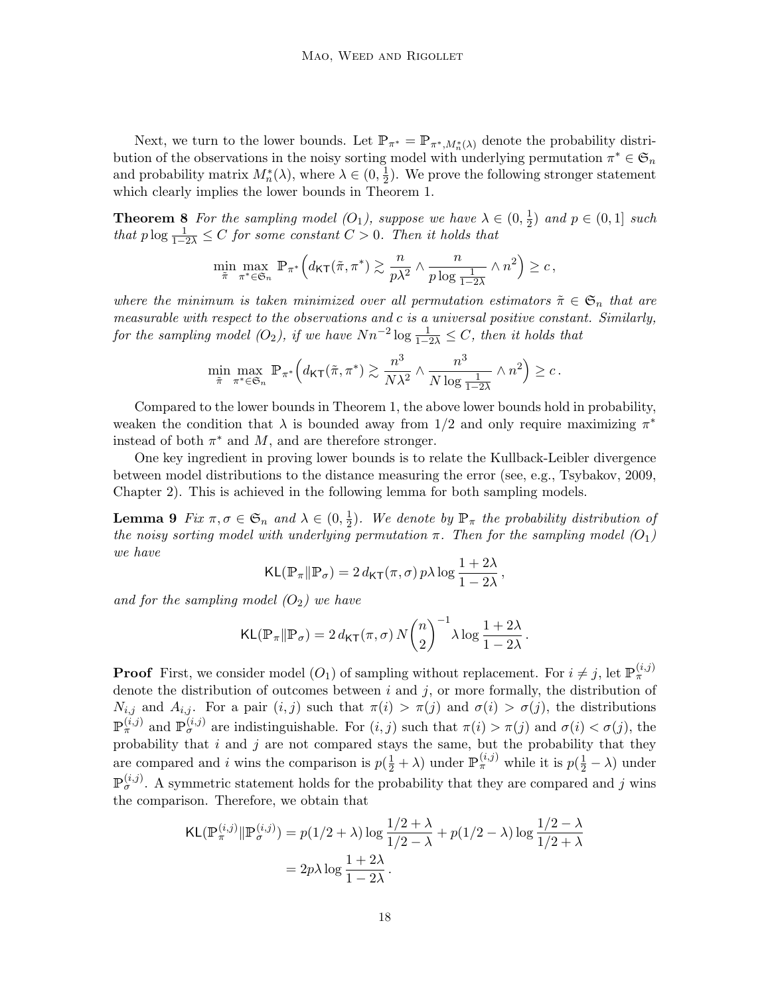Next, we turn to the lower bounds. Let  $\mathbb{P}_{\pi^*} = \mathbb{P}_{\pi^*, M_n^*(\lambda)}$  denote the probability distribution of the observations in the noisy sorting model with underlying permutation  $\pi^* \in \mathfrak{S}_n$ and probability matrix  $M_n^*(\lambda)$ , where  $\lambda \in (0, \frac{1}{2})$  $\frac{1}{2}$ ). We prove the following stronger statement which clearly implies the lower bounds in Theorem [1.](#page-5-0)

<span id="page-17-0"></span>**Theorem 8** For the sampling model  $(O_1)$  $(O_1)$  $(O_1)$ , suppose we have  $\lambda \in (0, \frac{1}{2})$  $(\frac{1}{2})$  and  $p \in (0,1]$  such that  $p \log \frac{1}{1-2\lambda} \leq C$  for some constant  $C > 0$ . Then it holds that

$$
\min_{\tilde{\pi}}\max_{\pi^*\in\mathfrak{S}_n}\,\mathbb{P}_{\pi^*}\Big(d_{\mathsf{KT}}(\tilde{\pi},\pi^*)\gtrsim \frac{n}{p\lambda^2}\wedge\frac{n}{p\log\frac{1}{1-2\lambda}}\wedge n^2\Big)\geq c\,,
$$

where the minimum is taken minimized over all permutation estimators  $\tilde{\pi} \in \mathfrak{S}_n$  that are measurable with respect to the observations and c is a universal positive constant. Similarly, for the sampling model ([O](#page-4-2)<sub>2</sub>), if we have  $Nn^{-2}\log\frac{1}{1-2\lambda} \leq C$ , then it holds that

$$
\min_{\tilde{\pi}} \max_{\pi^* \in \mathfrak{S}_n} \mathbb{P}_{\pi^*} \Big( d_{\mathsf{KT}}(\tilde{\pi}, \pi^*) \gtrsim \frac{n^3}{N\lambda^2} \wedge \frac{n^3}{N \log\frac{1}{1-2\lambda}} \wedge n^2 \Big) \geq c \, .
$$

Compared to the lower bounds in Theorem [1,](#page-5-0) the above lower bounds hold in probability, weaken the condition that  $\lambda$  is bounded away from 1/2 and only require maximizing  $\pi^*$ instead of both  $\pi^*$  and  $M$ , and are therefore stronger.

One key ingredient in proving lower bounds is to relate the Kullback-Leibler divergence between model distributions to the distance measuring the error (see, e.g., [Tsybakov, 2009,](#page-25-12) Chapter 2). This is achieved in the following lemma for both sampling models.

<span id="page-17-1"></span>**Lemma 9** Fix  $\pi, \sigma \in \mathfrak{S}_n$  and  $\lambda \in (0, \frac{1}{2})$  $\frac{1}{2}$ ). We denote by  $\mathbb{P}_{\pi}$  the probability distribution of the noisy sorting model with underlying permutation  $\pi$ . Then for the sampling model  $(O_1)$  $(O_1)$  $(O_1)$ we have

$$
\mathsf{KL}(\mathbb{P}_{\pi} \| \mathbb{P}_{\sigma}) = 2 d_{\mathsf{KT}}(\pi, \sigma) p \lambda \log \frac{1 + 2\lambda}{1 - 2\lambda},
$$

and for the sampling model  $(O_2)$  $(O_2)$  $(O_2)$  we have

$$
\mathsf{KL}(\mathbb{P}_{\pi} \| \mathbb{P}_{\sigma}) = 2 d_{\mathsf{KT}}(\pi, \sigma) N {n \choose 2}^{-1} \lambda \log \frac{1 + 2\lambda}{1 - 2\lambda}
$$

.

**Proof** First, we consider model  $(O_1)$  $(O_1)$  $(O_1)$  of sampling without replacement. For  $i \neq j$ , let  $\mathbb{P}^{(i,j)}_{\pi}$ denote the distribution of outcomes between  $i$  and  $j$ , or more formally, the distribution of  $N_{i,j}$  and  $A_{i,j}$ . For a pair  $(i,j)$  such that  $\pi(i) > \pi(j)$  and  $\sigma(i) > \sigma(j)$ , the distributions  $\mathbb{P}^{(i,j)}_{\pi}$  and  $\mathbb{P}^{(i,j)}_{\sigma}$  are indistinguishable. For  $(i,j)$  such that  $\pi(i) > \pi(j)$  and  $\sigma(i) < \sigma(j)$ , the probability that  $i$  and  $j$  are not compared stays the same, but the probability that they are compared and i wins the comparison is  $p(\frac{1}{2} + \lambda)$  under  $\mathbb{P}^{(i,j)}_{\pi}$  while it is  $p(\frac{1}{2} - \lambda)$  under  $\mathbb{P}_{\sigma}^{(i,j)}$ . A symmetric statement holds for the probability that they are compared and j wins the comparison. Therefore, we obtain that

$$
\mathsf{KL}(\mathbb{P}_{\pi}^{(i,j)} \| \mathbb{P}_{\sigma}^{(i,j)}) = p(1/2 + \lambda) \log \frac{1/2 + \lambda}{1/2 - \lambda} + p(1/2 - \lambda) \log \frac{1/2 - \lambda}{1/2 + \lambda}
$$

$$
= 2p\lambda \log \frac{1+2\lambda}{1-2\lambda}.
$$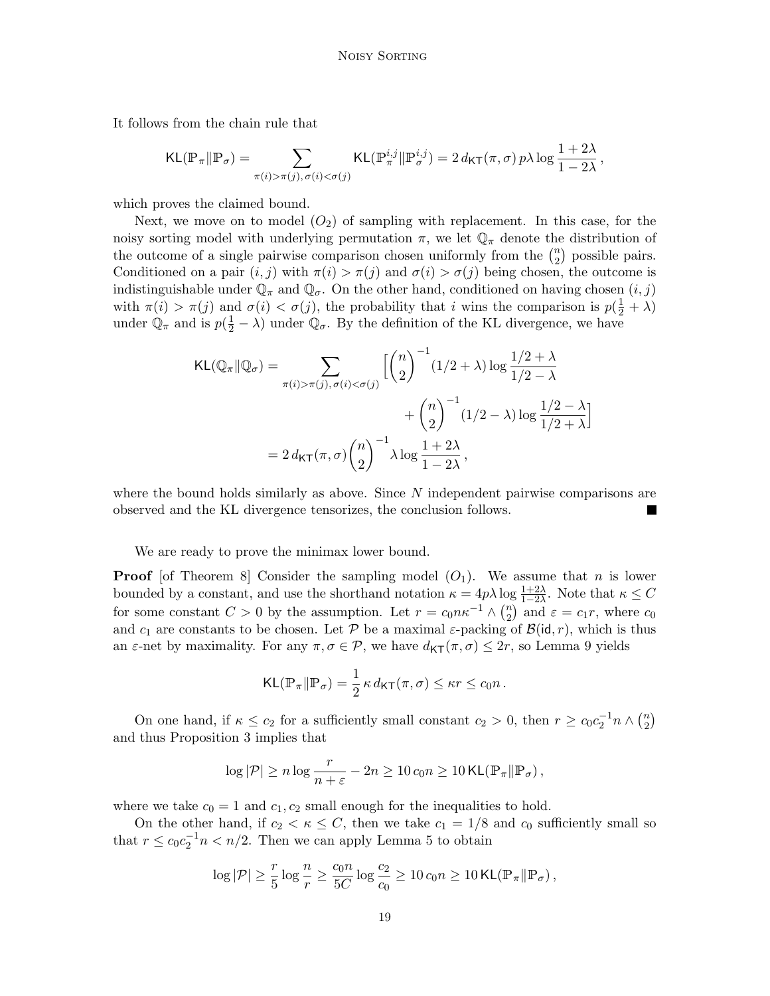It follows from the chain rule that

$$
\mathsf{KL}(\mathbb{P}_\pi \| \mathbb{P}_\sigma) = \sum_{\pi(i) > \pi(j), \, \sigma(i) < \sigma(j)} \mathsf{KL}(\mathbb{P}_\pi^{i,j} \| \mathbb{P}_\sigma^{i,j}) = 2 \, d_{\mathsf{KT}}(\pi,\sigma) \, p \lambda \log \frac{1+2\lambda}{1-2\lambda}
$$

,

which proves the claimed bound.

Next, we move on to model  $(O_2)$  $(O_2)$  $(O_2)$  of sampling with replacement. In this case, for the noisy sorting model with underlying permutation  $\pi$ , we let  $\mathbb{Q}_{\pi}$  denote the distribution of the outcome of a single pairwise comparison chosen uniformly from the  $\binom{n}{2}$  $n \choose 2$  possible pairs. Conditioned on a pair  $(i, j)$  with  $\pi(i) > \pi(j)$  and  $\sigma(i) > \sigma(j)$  being chosen, the outcome is indistinguishable under  $\mathbb{Q}_{\pi}$  and  $\mathbb{Q}_{\sigma}$ . On the other hand, conditioned on having chosen  $(i, j)$ with  $\pi(i) > \pi(j)$  and  $\sigma(i) < \sigma(j)$ , the probability that i wins the comparison is  $p(\frac{1}{2} + \lambda)$ under  $\mathbb{Q}_{\pi}$  and is  $p(\frac{1}{2} - \lambda)$  under  $\mathbb{Q}_{\sigma}$ . By the definition of the KL divergence, we have

$$
\mathsf{KL}(\mathbb{Q}_{\pi} \| \mathbb{Q}_{\sigma}) = \sum_{\pi(i) > \pi(j), \sigma(i) < \sigma(j)} \left[ \binom{n}{2}^{-1} (1/2 + \lambda) \log \frac{1/2 + \lambda}{1/2 - \lambda} + \binom{n}{2}^{-1} (1/2 - \lambda) \log \frac{1/2 - \lambda}{1/2 + \lambda} \right]
$$

$$
= 2 d_{\mathsf{KT}}(\pi, \sigma) \binom{n}{2}^{-1} \lambda \log \frac{1 + 2\lambda}{1 - 2\lambda},
$$

where the bound holds similarly as above. Since  $N$  independent pairwise comparisons are observed and the KL divergence tensorizes, the conclusion follows.

We are ready to prove the minimax lower bound.

**Proof** [of Theorem [8\]](#page-17-0) Consider the sampling model  $(O_1)$  $(O_1)$  $(O_1)$ . We assume that *n* is lower bounded by a constant, and use the shorthand notation  $\kappa = 4p\lambda \log \frac{1+2\lambda}{1-2\lambda}$ . Note that  $\kappa \leq C$ for some constant  $C > 0$  by the assumption. Let  $r = c_0 n \kappa^{-1} \wedge {n \choose 2}$  $\binom{n}{2}$  and  $\varepsilon = c_1 r$ , where  $c_0$ and  $c_1$  are constants to be chosen. Let P be a maximal  $\varepsilon$ -packing of  $\mathcal{B}(\mathsf{id}, r)$ , which is thus an  $\varepsilon$ -net by maximality. For any  $\pi, \sigma \in \mathcal{P}$ , we have  $d_{\mathsf{KT}}(\pi, \sigma) \leq 2r$ , so Lemma [9](#page-17-1) yields

$$
\mathsf{KL}(\mathbb{P}_{\pi} \| \mathbb{P}_{\sigma}) = \frac{1}{2} \kappa \, d_{\mathsf{KT}}(\pi, \sigma) \leq \kappa r \leq c_0 n \, .
$$

On one hand, if  $\kappa \leq c_2$  for a sufficiently small constant  $c_2 > 0$ , then  $r \geq c_0 c_2^{-1} n \wedge {n \choose 2}$  $\binom{n}{2}$ and thus Proposition [3](#page-10-1) implies that

$$
\log |\mathcal{P}| \ge n \log \frac{r}{n+\varepsilon} - 2n \ge 10 \, c_0 n \ge 10 \, \text{KL}(\mathbb{P}_\pi || \mathbb{P}_\sigma),
$$

where we take  $c_0 = 1$  and  $c_1, c_2$  small enough for the inequalities to hold.

On the other hand, if  $c_2 < \kappa \leq C$ , then we take  $c_1 = 1/8$  and  $c_0$  sufficiently small so that  $r \leq c_0 c_2^{-1} n < n/2$ . Then we can apply Lemma [5](#page-12-2) to obtain

$$
\log |\mathcal{P}| \geq \frac{r}{5} \log \frac{n}{r} \geq \frac{c_0 n}{5C} \log \frac{c_2}{c_0} \geq 10 \, c_0 n \geq 10 \, \text{KL}(\mathbb{P}_\pi \| \mathbb{P}_\sigma),
$$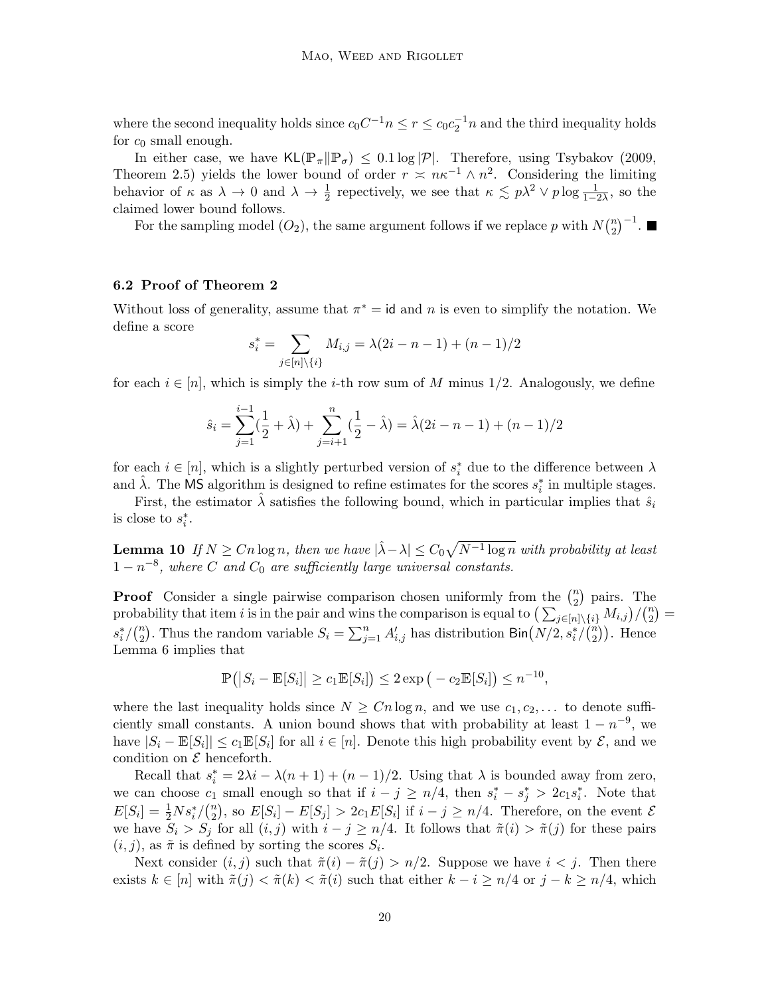where the second inequality holds since  $c_0C^{-1}n \le r \le c_0c_2^{-1}n$  and the third inequality holds for  $c_0$  small enough.

In either case, we have  $KL(\mathbb{P}_{\pi}|\mathbb{P}_{\sigma}) \leq 0.1 \log |\mathcal{P}|$ . Therefore, using [Tsybakov](#page-25-12) [\(2009,](#page-25-12) Theorem 2.5) yields the lower bound of order  $r \approx n\kappa^{-1} \wedge n^2$ . Considering the limiting behavior of  $\kappa$  as  $\lambda \to 0$  and  $\lambda \to \frac{1}{2}$  repectively, we see that  $\kappa \lesssim p\lambda^2 \vee p \log \frac{1}{1-2\lambda}$ , so the claimed lower bound follows.

For the sampling model  $(O_2)$  $(O_2)$  $(O_2)$ , the same argument follows if we replace p with  $N\binom{n}{2}$  ${n \choose 2}^{-1}.$ 

#### 6.2 Proof of Theorem [2](#page-7-3)

Without loss of generality, assume that  $\pi^* = id$  and n is even to simplify the notation. We define a score

$$
s_i^* = \sum_{j \in [n] \setminus \{i\}} M_{i,j} = \lambda(2i - n - 1) + (n - 1)/2
$$

for each  $i \in [n]$ , which is simply the *i*-th row sum of M minus 1/2. Analogously, we define

$$
\hat{s}_i = \sum_{j=1}^{i-1} \left(\frac{1}{2} + \hat{\lambda}\right) + \sum_{j=i+1}^{n} \left(\frac{1}{2} - \hat{\lambda}\right) = \hat{\lambda}(2i - n - 1) + (n - 1)/2
$$

for each  $i \in [n]$ , which is a slightly perturbed version of  $s_i^*$  due to the difference between  $\lambda$ and  $\hat{\lambda}$ . The MS algorithm is designed to refine estimates for the scores  $s_i^*$  in multiple stages.

First, the estimator  $\hat{\lambda}$  satisfies the following bound, which in particular implies that  $\hat{s}_i$ is close to  $s_i^*$ .

<span id="page-19-0"></span>**Lemma 10** If  $N \geq Cn \log n$ , then we have  $|\hat{\lambda} - \lambda| \leq C_0 \sqrt{N^{-1} \log n}$  with probability at least  $1-n^{-8}$ , where C and  $C_0$  are sufficiently large universal constants.

**Proof** Consider a single pairwise comparison chosen uniformly from the  $\binom{n}{2}$  $\binom{n}{2}$  pairs. The probability that item i is in the pair and wins the comparison is equal to  $\left(\sum_{j\in[n]\setminus\{i\}} M_{i,j}\right)/\binom{n}{2}$  $\binom{n}{2}$  =  $s_i^*/\binom{n}{2}$ <sup>n</sup><sub>2</sub>). Thus the random variable  $S_i = \sum_{j=1}^n A'_{i,j}$  has distribution Bin $(N/2, s_i^*/\binom{n}{2})$  $n \choose 2$ ). Hence Lemma [6](#page-12-1) implies that

$$
\mathbb{P}\left(\left|S_i - \mathbb{E}[S_i]\right| \geq c_1 \mathbb{E}[S_i]\right) \leq 2 \exp\left(-c_2 \mathbb{E}[S_i]\right) \leq n^{-10},
$$

where the last inequality holds since  $N \geq C n \log n$ , and we use  $c_1, c_2, \ldots$  to denote sufficiently small constants. A union bound shows that with probability at least  $1 - n^{-9}$ , we have  $|S_i - \mathbb{E}[S_i]| \leq c_1 \mathbb{E}[S_i]$  for all  $i \in [n]$ . Denote this high probability event by  $\mathcal{E}$ , and we condition on  $\mathcal E$  henceforth.

Recall that  $s_i^* = 2\lambda i - \lambda (n+1) + (n-1)/2$ . Using that  $\lambda$  is bounded away from zero, we can choose  $c_1$  small enough so that if  $i - j \ge n/4$ , then  $s_i^* - s_j^* > 2c_1s_i^*$ . Note that  $E[S_i] = \frac{1}{2} N s_i^* / \binom{n}{2}$  $\mathbb{E}[S_i] - E[S_j] > 2c_1E[S_i]$  if  $i - j \geq n/4$ . Therefore, on the event  $\mathcal{E}[S_i]$ we have  $S_i > S_j$  for all  $(i, j)$  with  $i - j \geq n/4$ . It follows that  $\tilde{\pi}(i) > \tilde{\pi}(j)$  for these pairs  $(i, j)$ , as  $\tilde{\pi}$  is defined by sorting the scores  $S_i$ .

Next consider  $(i, j)$  such that  $\tilde{\pi}(i) - \tilde{\pi}(j) > n/2$ . Suppose we have  $i < j$ . Then there exists  $k \in [n]$  with  $\tilde{\pi}(j) < \tilde{\pi}(k) < \tilde{\pi}(i)$  such that either  $k - i \geq n/4$  or  $j - k \geq n/4$ , which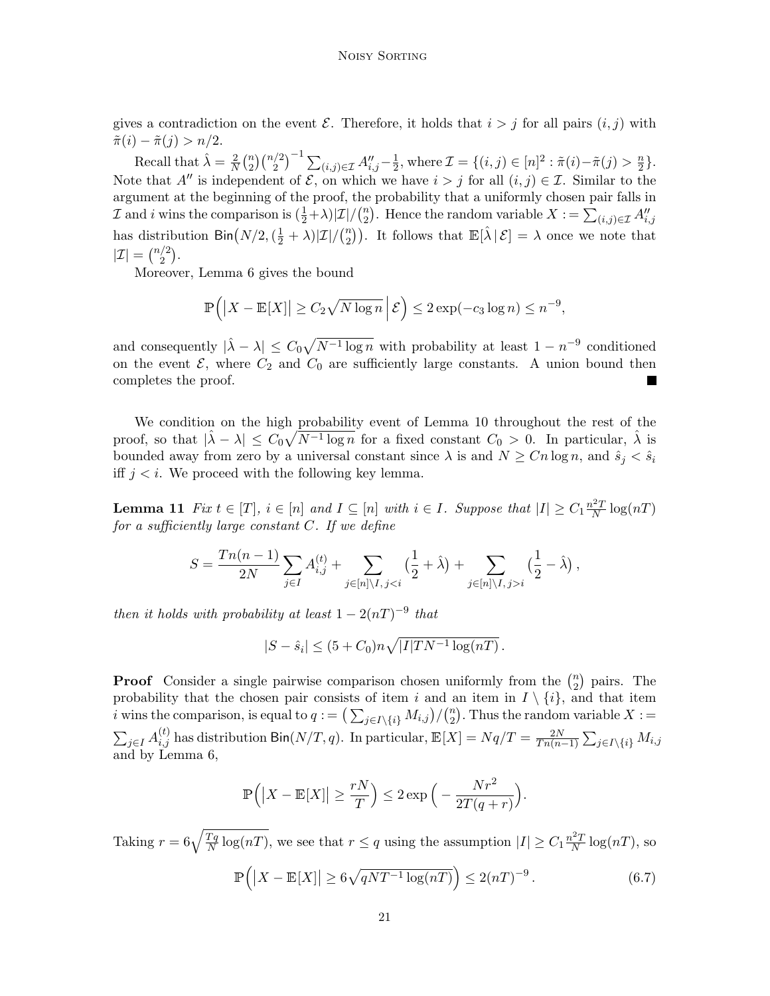gives a contradiction on the event  $\mathcal E$ . Therefore, it holds that  $i > j$  for all pairs  $(i, j)$  with  $\tilde{\pi}(i) - \tilde{\pi}(j) > n/2.$ 

Recall that  $\hat{\lambda} = \frac{2}{N}$  $\frac{2}{N}$  $\binom{n}{2}$  $\binom{n}{2} \binom{n/2}{2}^{-1} \sum_{(i,j) \in \mathcal{I}} A''_{i,j} - \frac{1}{2}$  $\frac{1}{2}$ , where  $\mathcal{I} = \{(i, j) \in [n]^2 : \tilde{\pi}(i) - \tilde{\pi}(j) > \frac{n}{2}$  $\frac{n}{2}$ . Note that A'' is independent of  $\mathcal{E}$ , on which we have  $i > j$  for all  $(i, j) \in \mathcal{I}$ . Similar to the argument at the beginning of the proof, the probability that a uniformly chosen pair falls in  $\mathcal I$  and i wins the comparison is  $(\frac{1}{2}+\lambda)|\mathcal I|/(\frac{n}{2})$ <sup>n</sup></sup><sub>2</sub>). Hence the random variable  $X := \sum_{(i,j) \in \mathcal{I}} A''_{i,j}$ has distribution  $\textsf{Bin}\left(N/2, (\frac{1}{2} + \lambda) | \mathcal{I} | / (\frac{n}{2})\right)$  $\binom{n}{2}$ . It follows that  $\mathbb{E}[\hat{\lambda} | \mathcal{E}] = \lambda$  once we note that  $|\mathcal{I}| = \binom{n/2}{2}$  $\binom{2}{2}$ .

Moreover, Lemma [6](#page-12-1) gives the bound

$$
\mathbb{P}\left(\left|X - \mathbb{E}[X]\right| \ge C_2 \sqrt{N \log n} \, \middle| \, \mathcal{E}\right) \le 2 \exp(-c_3 \log n) \le n^{-9},
$$

and consequently  $|\hat{\lambda} - \lambda| \leq C_0 \sqrt{N^{-1} \log n}$  with probability at least  $1 - n^{-9}$  conditioned on the event  $\mathcal{E}$ , where  $C_2$  and  $C_0$  are sufficiently large constants. A union bound then completes the proof.

We condition on the high probability event of Lemma [10](#page-19-0) throughout the rest of the proof, so that  $|\hat{\lambda} - \lambda| \leq C_0 \sqrt{N^{-1} \log n}$  for a fixed constant  $C_0 > 0$ . In particular,  $\hat{\lambda}$  is bounded away from zero by a universal constant since  $\lambda$  is and  $N \geq C_n \log n$ , and  $\hat{s}_i < \hat{s}_i$ iff  $j < i$ . We proceed with the following key lemma.

<span id="page-20-0"></span>**Lemma 11** Fix  $t \in [T]$ ,  $i \in [n]$  and  $I \subseteq [n]$  with  $i \in I$ . Suppose that  $|I| \geq C_1 \frac{n^2 T}{N}$  $\frac{e^2T}{N}\log(nT)$ for a sufficiently large constant  $C$ . If we define

$$
S = \frac{Tn(n-1)}{2N} \sum_{j \in I} A_{i,j}^{(t)} + \sum_{j \in [n] \setminus I, j < i} \left( \frac{1}{2} + \hat{\lambda} \right) + \sum_{j \in [n] \setminus I, j > i} \left( \frac{1}{2} - \hat{\lambda} \right),
$$

then it holds with probability at least  $1 - 2(nT)^{-9}$  that

$$
|S - \hat{s}_i| \le (5 + C_0)n\sqrt{|I|TN^{-1}\log(nT)}.
$$

**Proof** Consider a single pairwise comparison chosen uniformly from the  $\binom{n}{2}$  $n \choose 2$  pairs. The probability that the chosen pair consists of item i and an item in  $I \setminus \{i\}$ , and that item *i* wins the comparison, is equal to  $q := \left(\sum_{j \in I \setminus \{i\}} M_{i,j}\right) / \binom{n}{2}$  $n_2^n$ ). Thus the random variable  $X :=$  $\sum_{j\in I} A_{i,j}^{(t)}$  has distribution  $\text{Bin}(N/T, q)$ . In particular,  $\mathbb{E}[X] = Nq/T = \frac{2N}{Tn(n+1)}$  $\frac{2N}{Tn(n-1)}\sum_{j\in I\setminus\{i\}}M_{i,j}$ and by Lemma [6,](#page-12-1)

$$
\mathbb{P}\left(\left|X - \mathbb{E}[X]\right| \ge \frac{rN}{T}\right) \le 2\exp\left(-\frac{Nr^2}{2T(q+r)}\right).
$$

<span id="page-20-1"></span>Taking  $r = 6\sqrt{\frac{Tq}{N}}$  $\frac{Tq}{N}\log(nT)$ , we see that  $r \leq q$  using the assumption  $|I| \geq C_1 \frac{n^2T}{N}$  $\frac{N^2T}{N} \log(nT)$ , so

$$
\mathbb{P}\left(\left|X - \mathbb{E}[X]\right| \ge 6\sqrt{qNT^{-1}\log(nT)}\right) \le 2(nT)^{-9}.
$$
\n(6.7)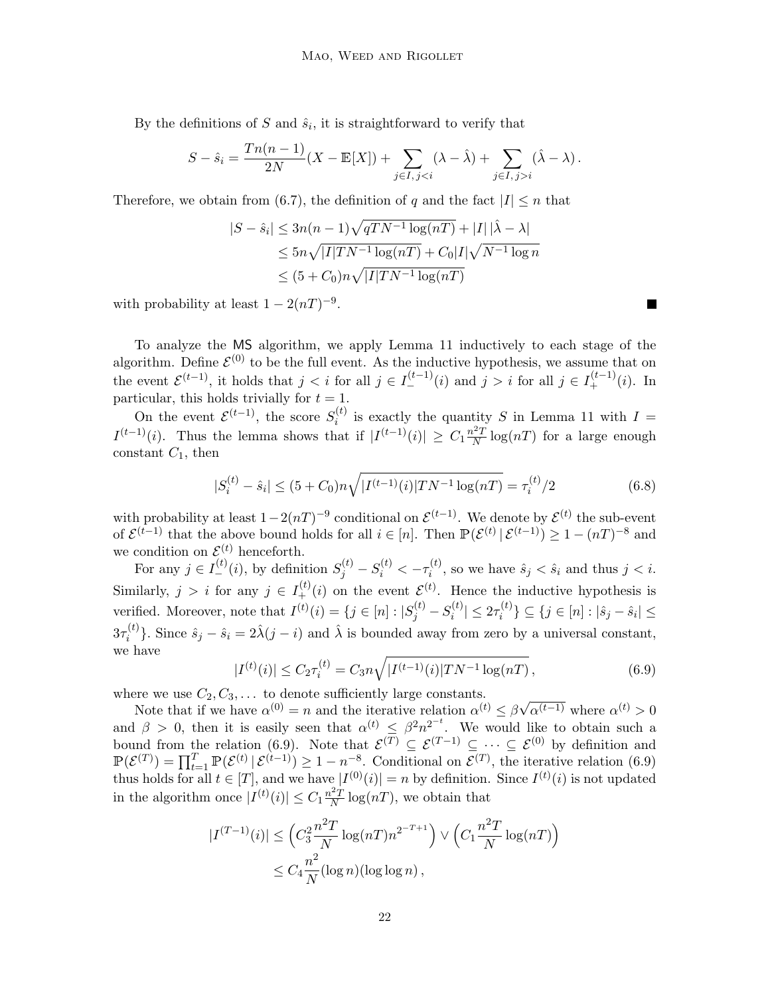By the definitions of S and  $\hat{s}_i$ , it is straightforward to verify that

$$
S - \hat{s}_i = \frac{Tn(n-1)}{2N}(X - \mathbb{E}[X]) + \sum_{j \in I, j < i} (\lambda - \hat{\lambda}) + \sum_{j \in I, j > i} (\hat{\lambda} - \lambda).
$$

Therefore, we obtain from [\(6.7\)](#page-20-1), the definition of q and the fact  $|I| \leq n$  that

$$
|S - \hat{s}_i| \le 3n(n-1)\sqrt{qTN^{-1}\log(nT)} + |I||\hat{\lambda} - \lambda|
$$
  
\n
$$
\le 5n\sqrt{|I|TN^{-1}\log(nT)} + C_0|I|\sqrt{N^{-1}\log n}
$$
  
\n
$$
\le (5 + C_0)n\sqrt{|I|TN^{-1}\log(nT)}
$$

with probability at least  $1 - 2(nT)^{-9}$ .

To analyze the MS algorithm, we apply Lemma [11](#page-20-0) inductively to each stage of the algorithm. Define  $\mathcal{E}^{(0)}$  to be the full event. As the inductive hypothesis, we assume that on the event  $\mathcal{E}^{(t-1)}$ , it holds that  $j < i$  for all  $j \in I_{-}^{(t-1)}(i)$  and  $j > i$  for all  $j \in I_{+}^{(t-1)}(i)$ . In particular, this holds trivially for  $t = 1$ .

On the event  $\mathcal{E}^{(t-1)}$ , the score  $S_i^{(t)}$  $i^{(l)}$  is exactly the quantity S in Lemma [11](#page-20-0) with  $I =$  $I^{(t-1)}(i)$ . Thus the lemma shows that if  $|I^{(t-1)}(i)| \geq C_1 \frac{n^2 T}{N}$  $\frac{N^2T}{N} \log(nT)$  for a large enough constant  $C_1$ , then

<span id="page-21-1"></span>
$$
|S_i^{(t)} - \hat{s}_i| \le (5 + C_0)n\sqrt{|I^{(t-1)}(i)|TN^{-1}\log(nT)} = \tau_i^{(t)}/2
$$
\n(6.8)

П

with probability at least  $1-2(nT)^{-9}$  conditional on  $\mathcal{E}^{(t-1)}$ . We denote by  $\mathcal{E}^{(t)}$  the sub-event of  $\mathcal{E}^{(t-1)}$  that the above bound holds for all  $i \in [n]$ . Then  $\mathbb{P}(\mathcal{E}^{(t)} | \mathcal{E}^{(t-1)}) \geq 1 - (nT)^{-8}$  and we condition on  $\mathcal{E}^{(t)}$  henceforth.

For any  $j \in I_{-}^{(t)}(i)$ , by definition  $S_{j}^{(t)} - S_{i}^{(t)} < -\tau_{i}^{(t)}$  $\hat{s}_i^{(t)}$ , so we have  $\hat{s}_j < \hat{s}_i$  and thus  $j < i$ . Similarly,  $j > i$  for any  $j \in I^{(t)}_+(i)$  on the event  $\mathcal{E}^{(t)}$ . Hence the inductive hypothesis is verified. Moreover, note that  $I^{(t)}(i) = \{j \in [n] : |S_j^{(t)} - S_i^{(t)}|$  $|\hat{u}_{i}^{(t)}| \leq 2\tau_{i}^{(t)}$  $\{i^{(i)}\} \subseteq \{j \in [n] : |\hat{s}_j - \hat{s}_i| \leq$  $3\tau_i^{(t)}$ <sup>(t)</sup>, Since  $\hat{s}_j - \hat{s}_i = 2\hat{\lambda}(j - i)$  and  $\hat{\lambda}$  is bounded away from zero by a universal constant, we have

$$
|I^{(t)}(i)| \le C_2 \tau_i^{(t)} = C_3 n \sqrt{|I^{(t-1)}(i)|TN^{-1}\log(nT)},
$$
\n(6.9)

<span id="page-21-0"></span>where we use  $C_2, C_3, \ldots$  to denote sufficiently large constants.

Note that if we have  $\alpha^{(0)} = n$  and the iterative relation  $\alpha^{(t)} \leq \beta$ √  $\alpha^{(t-1)}$  where  $\alpha^{(t)} > 0$ and  $\beta > 0$ , then it is easily seen that  $\alpha^{(t)} \leq \beta^2 n^{2^{-t}}$ . We would like to obtain such a bound from the relation [\(6.9\)](#page-21-0). Note that  $\mathcal{E}^{(T)} \subseteq \mathcal{E}^{(T-1)} \subseteq \cdots \subseteq \mathcal{E}^{(0)}$  by definition and  $\mathbb{P}(\mathcal{E}^{(T)}) = \prod_{t=1}^{T} \mathbb{P}(\mathcal{E}^{(t)} | \mathcal{E}^{(t-1)}) \ge 1 - n^{-8}$ . Conditional on  $\mathcal{E}^{(T)}$ , the iterative relation [\(6.9\)](#page-21-0) thus holds for all  $t \in [T]$ , and we have  $|I^{(0)}(i)| = n$  by definition. Since  $I^{(t)}(i)$  is not updated in the algorithm once  $|I^{(t)}(i)| \leq C_1 \frac{n^2 T}{N}$  $\frac{L^2 T}{N} \log(nT)$ , we obtain that

$$
|I^{(T-1)}(i)| \leq \left(C_3^2 \frac{n^2 T}{N} \log(nT) n^{2^{-T+1}}\right) \vee \left(C_1 \frac{n^2 T}{N} \log(nT)\right)
$$
  

$$
\leq C_4 \frac{n^2}{N} (\log n)(\log \log n),
$$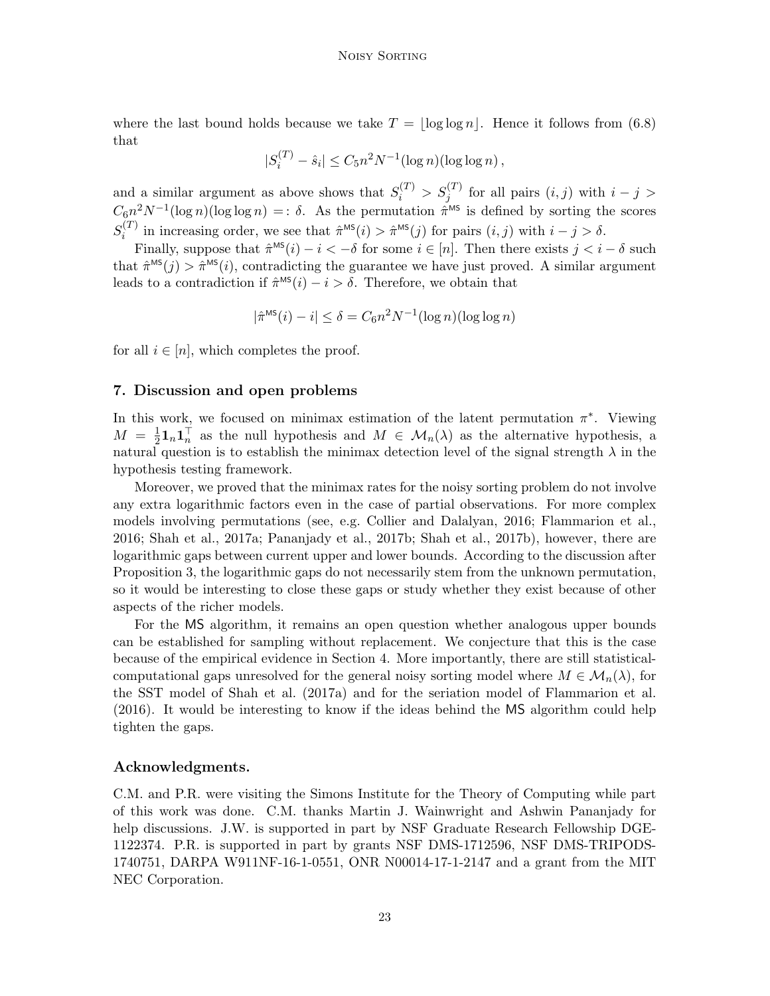where the last bound holds because we take  $T = |\log \log n|$ . Hence it follows from [\(6.8\)](#page-21-1) that

$$
|S_i^{(T)} - \hat{s}_i| \le C_5 n^2 N^{-1} (\log n)(\log \log n),
$$

and a similar argument as above shows that  $S_i^{(T)} > S_j^{(T)}$  for all pairs  $(i, j)$  with  $i - j >$  $C_6n^2N^{-1}(\log n)(\log \log n) =: \delta$ . As the permutation  $\hat{\pi}^{\text{MS}}$  is defined by sorting the scores  $S_i^{(T)}$  $\hat{\pi}^{(1)}$  in increasing order, we see that  $\hat{\pi}^{\text{MS}}(i) > \hat{\pi}^{\text{MS}}(j)$  for pairs  $(i, j)$  with  $i - j > \delta$ .

Finally, suppose that  $\hat{\pi}^{\text{MS}}(i) - i < -\delta$  for some  $i \in [n]$ . Then there exists  $j < i - \delta$  such that  $\hat{\pi}^{\text{MS}}(j) > \hat{\pi}^{\text{MS}}(i)$ , contradicting the guarantee we have just proved. A similar argument leads to a contradiction if  $\hat{\pi}^{\text{MS}}(i) - i > \delta$ . Therefore, we obtain that

$$
|\hat{\pi}^{\text{MS}}(i) - i| \le \delta = C_6 n^2 N^{-1} (\log n)(\log \log n)
$$

for all  $i \in [n]$ , which completes the proof.

### <span id="page-22-0"></span>7. Discussion and open problems

In this work, we focused on minimax estimation of the latent permutation  $\pi^*$ . Viewing  $M = \frac{1}{2}$  $\frac{1}{2}$ **1**<sub>n</sub>**1**<sub>n</sub><sup>T</sup> as the null hypothesis and  $M \in \mathcal{M}_n(\lambda)$  as the alternative hypothesis, a natural question is to establish the minimax detection level of the signal strength  $\lambda$  in the hypothesis testing framework.

Moreover, we proved that the minimax rates for the noisy sorting problem do not involve any extra logarithmic factors even in the case of partial observations. For more complex models involving permutations (see, e.g. [Collier and Dalalyan, 2016;](#page-23-7) [Flammarion et al.,](#page-24-10) [2016;](#page-24-10) [Shah et al., 2017a;](#page-25-6) [Pananjady et al., 2017b;](#page-25-9) [Shah et al., 2017b\)](#page-25-13), however, there are logarithmic gaps between current upper and lower bounds. According to the discussion after Proposition [3,](#page-10-1) the logarithmic gaps do not necessarily stem from the unknown permutation, so it would be interesting to close these gaps or study whether they exist because of other aspects of the richer models.

For the MS algorithm, it remains an open question whether analogous upper bounds can be established for sampling without replacement. We conjecture that this is the case because of the empirical evidence in Section [4.](#page-8-0) More importantly, there are still statisticalcomputational gaps unresolved for the general noisy sorting model where  $M \in \mathcal{M}_n(\lambda)$ , for the SST model of [Shah et al.](#page-25-6) [\(2017a\)](#page-25-6) and for the seriation model of [Flammarion et al.](#page-24-10) [\(2016\)](#page-24-10). It would be interesting to know if the ideas behind the MS algorithm could help tighten the gaps.

### Acknowledgments.

C.M. and P.R. were visiting the Simons Institute for the Theory of Computing while part of this work was done. C.M. thanks Martin J. Wainwright and Ashwin Pananjady for help discussions. J.W. is supported in part by NSF Graduate Research Fellowship DGE-1122374. P.R. is supported in part by grants NSF DMS-1712596, NSF DMS-TRIPODS-1740751, DARPA W911NF-16-1-0551, ONR N00014-17-1-2147 and a grant from the MIT NEC Corporation.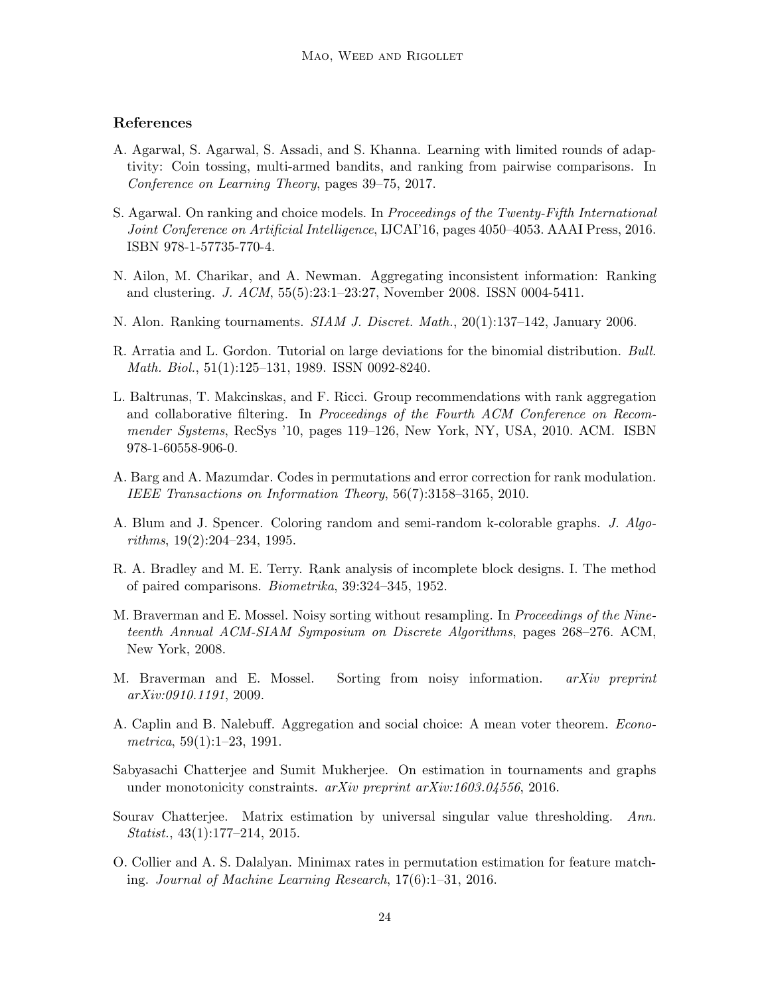# References

- <span id="page-23-11"></span>A. Agarwal, S. Agarwal, S. Assadi, and S. Khanna. Learning with limited rounds of adaptivity: Coin tossing, multi-armed bandits, and ranking from pairwise comparisons. In Conference on Learning Theory, pages 39–75, 2017.
- <span id="page-23-6"></span>S. Agarwal. On ranking and choice models. In Proceedings of the Twenty-Fifth International Joint Conference on Artificial Intelligence, IJCAI'16, pages 4050–4053. AAAI Press, 2016. ISBN 978-1-57735-770-4.
- <span id="page-23-9"></span>N. Ailon, M. Charikar, and A. Newman. Aggregating inconsistent information: Ranking and clustering. J. ACM, 55(5):23:1–23:27, November 2008. ISSN 0004-5411.
- <span id="page-23-8"></span>N. Alon. Ranking tournaments. *SIAM J. Discret. Math.*, 20(1):137–142, January 2006.
- <span id="page-23-14"></span>R. Arratia and L. Gordon. Tutorial on large deviations for the binomial distribution. Bull. Math. Biol., 51(1):125–131, 1989. ISSN 0092-8240.
- <span id="page-23-0"></span>L. Baltrunas, T. Makcinskas, and F. Ricci. Group recommendations with rank aggregation and collaborative filtering. In Proceedings of the Fourth ACM Conference on Recommender Systems, RecSys '10, pages 119–126, New York, NY, USA, 2010. ACM. ISBN 978-1-60558-906-0.
- <span id="page-23-13"></span>A. Barg and A. Mazumdar. Codes in permutations and error correction for rank modulation. IEEE Transactions on Information Theory, 56(7):3158–3165, 2010.
- <span id="page-23-12"></span>A. Blum and J. Spencer. Coloring random and semi-random k-colorable graphs. J. Algorithms, 19(2):204–234, 1995.
- <span id="page-23-2"></span>R. A. Bradley and M. E. Terry. Rank analysis of incomplete block designs. I. The method of paired comparisons. Biometrika, 39:324–345, 1952.
- <span id="page-23-3"></span>M. Braverman and E. Mossel. Noisy sorting without resampling. In *Proceedings of the Nine*teenth Annual ACM-SIAM Symposium on Discrete Algorithms, pages 268–276. ACM, New York, 2008.
- <span id="page-23-4"></span>M. Braverman and E. Mossel. Sorting from noisy information. *arXiv preprint* arXiv:0910.1191, 2009.
- <span id="page-23-1"></span>A. Caplin and B. Nalebuff. Aggregation and social choice: A mean voter theorem. Econometrica,  $59(1):1-23$ , 1991.
- <span id="page-23-10"></span>Sabyasachi Chatterjee and Sumit Mukherjee. On estimation in tournaments and graphs under monotonicity constraints. arXiv preprint arXiv:1603.04556, 2016.
- <span id="page-23-5"></span>Sourav Chatterjee. Matrix estimation by universal singular value thresholding. Ann. Statist., 43(1):177–214, 2015.
- <span id="page-23-7"></span>O. Collier and A. S. Dalalyan. Minimax rates in permutation estimation for feature matching. Journal of Machine Learning Research, 17(6):1–31, 2016.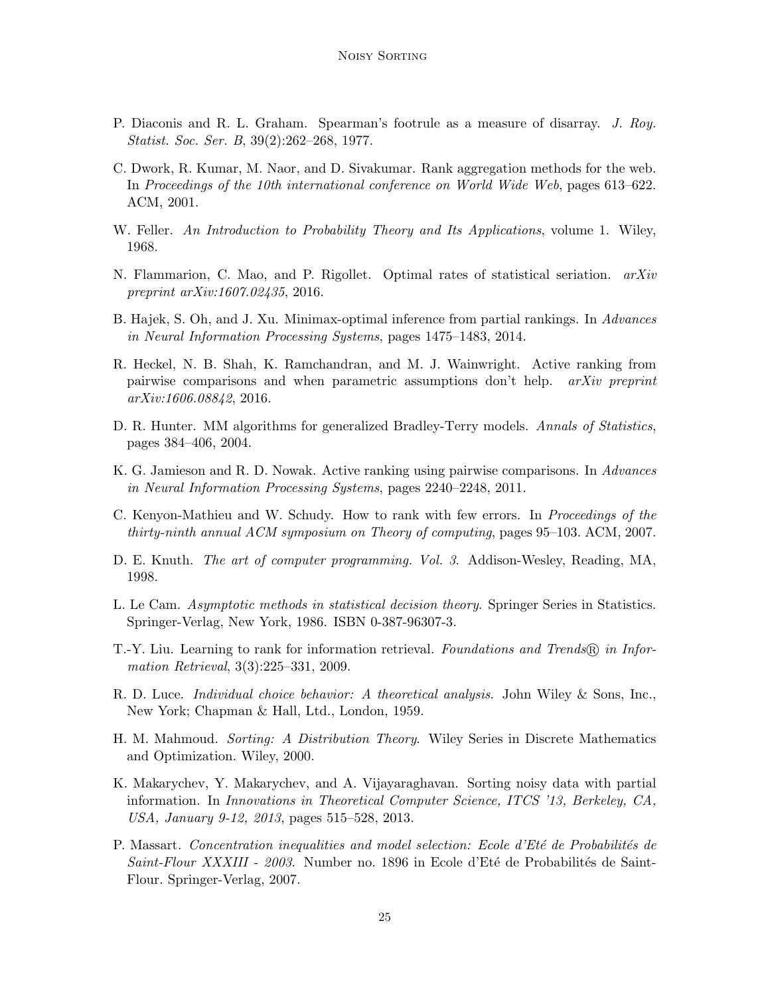- <span id="page-24-9"></span>P. Diaconis and R. L. Graham. Spearman's footrule as a measure of disarray. J. Roy. Statist. Soc. Ser. B, 39(2):262–268, 1977.
- <span id="page-24-0"></span>C. Dwork, R. Kumar, M. Naor, and D. Sivakumar. Rank aggregation methods for the web. In Proceedings of the 10th international conference on World Wide Web, pages 613–622. ACM, 2001.
- <span id="page-24-13"></span>W. Feller. An Introduction to Probability Theory and Its Applications, volume 1. Wiley, 1968.
- <span id="page-24-10"></span>N. Flammarion, C. Mao, and P. Rigollet. Optimal rates of statistical seriation.  $arXiv$ preprint arXiv:1607.02435, 2016.
- <span id="page-24-4"></span>B. Hajek, S. Oh, and J. Xu. Minimax-optimal inference from partial rankings. In Advances in Neural Information Processing Systems, pages 1475–1483, 2014.
- <span id="page-24-7"></span>R. Heckel, N. B. Shah, K. Ramchandran, and M. J. Wainwright. Active ranking from pairwise comparisons and when parametric assumptions don't help. arXiv preprint arXiv:1606.08842, 2016.
- <span id="page-24-3"></span>D. R. Hunter. MM algorithms for generalized Bradley-Terry models. Annals of Statistics, pages 384–406, 2004.
- <span id="page-24-6"></span>K. G. Jamieson and R. D. Nowak. Active ranking using pairwise comparisons. In Advances in Neural Information Processing Systems, pages 2240–2248, 2011.
- <span id="page-24-5"></span>C. Kenyon-Mathieu and W. Schudy. How to rank with few errors. In Proceedings of the thirty-ninth annual ACM symposium on Theory of computing, pages 95–103. ACM, 2007.
- <span id="page-24-8"></span>D. E. Knuth. The art of computer programming. Vol. 3. Addison-Wesley, Reading, MA, 1998.
- <span id="page-24-15"></span>L. Le Cam. Asymptotic methods in statistical decision theory. Springer Series in Statistics. Springer-Verlag, New York, 1986. ISBN 0-387-96307-3.
- <span id="page-24-1"></span>T.-Y. Liu. Learning to rank for information retrieval. Foundations and Trends (R) in Information Retrieval, 3(3):225–331, 2009.
- <span id="page-24-2"></span>R. D. Luce. Individual choice behavior: A theoretical analysis. John Wiley & Sons, Inc., New York; Chapman & Hall, Ltd., London, 1959.
- <span id="page-24-12"></span>H. M. Mahmoud. Sorting: A Distribution Theory. Wiley Series in Discrete Mathematics and Optimization. Wiley, 2000.
- <span id="page-24-11"></span>K. Makarychev, Y. Makarychev, and A. Vijayaraghavan. Sorting noisy data with partial information. In Innovations in Theoretical Computer Science, ITCS '13, Berkeley, CA, USA, January 9-12, 2013, pages 515–528, 2013.
- <span id="page-24-14"></span>P. Massart. Concentration inequalities and model selection: Ecole d'Eté de Probabilités de Saint-Flour XXXIII - 2003. Number no. 1896 in Ecole d'Eté de Probabilités de Saint-Flour. Springer-Verlag, 2007.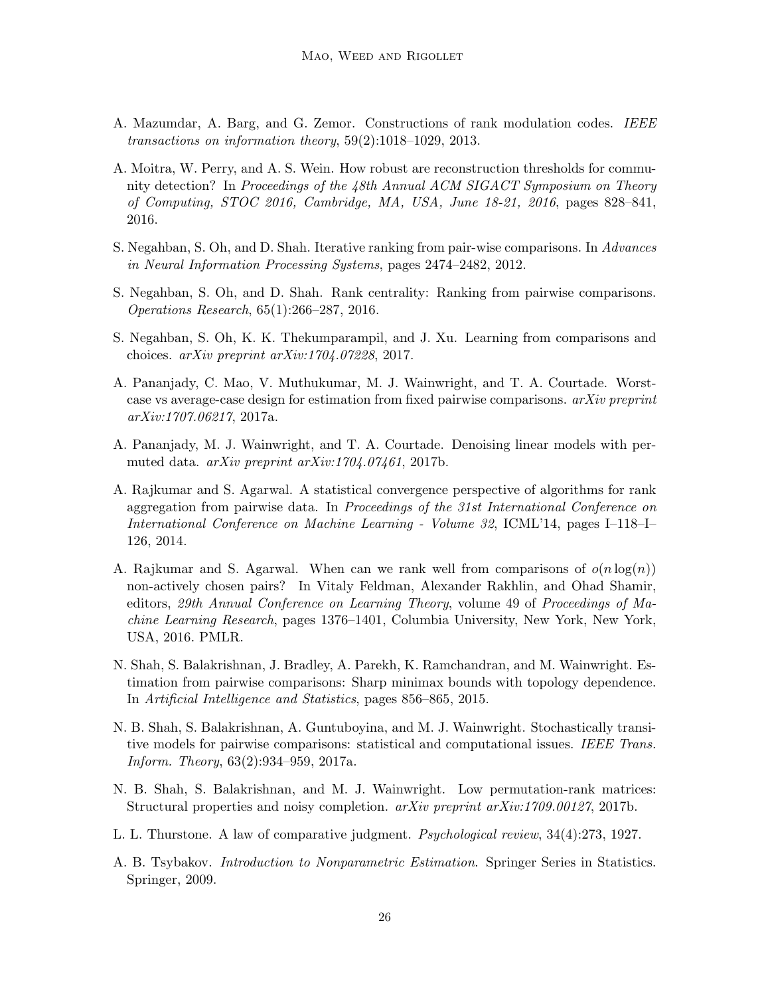- <span id="page-25-11"></span>A. Mazumdar, A. Barg, and G. Zemor. Constructions of rank modulation codes. IEEE transactions on information theory, 59(2):1018–1029, 2013.
- <span id="page-25-10"></span>A. Moitra, W. Perry, and A. S. Wein. How robust are reconstruction thresholds for community detection? In Proceedings of the 48th Annual ACM SIGACT Symposium on Theory of Computing, STOC 2016, Cambridge, MA, USA, June 18-21, 2016, pages 828–841, 2016.
- <span id="page-25-1"></span>S. Negahban, S. Oh, and D. Shah. Iterative ranking from pair-wise comparisons. In Advances in Neural Information Processing Systems, pages 2474–2482, 2012.
- <span id="page-25-4"></span>S. Negahban, S. Oh, and D. Shah. Rank centrality: Ranking from pairwise comparisons. Operations Research, 65(1):266–287, 2016.
- <span id="page-25-5"></span>S. Negahban, S. Oh, K. K. Thekumparampil, and J. Xu. Learning from comparisons and choices. arXiv preprint arXiv:1704.07228, 2017.
- <span id="page-25-7"></span>A. Pananjady, C. Mao, V. Muthukumar, M. J. Wainwright, and T. A. Courtade. Worstcase vs average-case design for estimation from fixed pairwise comparisons.  $arXiv$  preprint arXiv:1707.06217, 2017a.
- <span id="page-25-9"></span>A. Pananjady, M. J. Wainwright, and T. A. Courtade. Denoising linear models with permuted data. arXiv preprint arXiv:1704.07461, 2017b.
- <span id="page-25-2"></span>A. Rajkumar and S. Agarwal. A statistical convergence perspective of algorithms for rank aggregation from pairwise data. In Proceedings of the 31st International Conference on International Conference on Machine Learning - Volume 32, ICML'14, pages I–118–I– 126, 2014.
- <span id="page-25-8"></span>A. Rajkumar and S. Agarwal. When can we rank well from comparisons of  $o(n \log(n))$ non-actively chosen pairs? In Vitaly Feldman, Alexander Rakhlin, and Ohad Shamir, editors, 29th Annual Conference on Learning Theory, volume 49 of Proceedings of Machine Learning Research, pages 1376–1401, Columbia University, New York, New York, USA, 2016. PMLR.
- <span id="page-25-3"></span>N. Shah, S. Balakrishnan, J. Bradley, A. Parekh, K. Ramchandran, and M. Wainwright. Estimation from pairwise comparisons: Sharp minimax bounds with topology dependence. In Artificial Intelligence and Statistics, pages 856–865, 2015.
- <span id="page-25-6"></span>N. B. Shah, S. Balakrishnan, A. Guntuboyina, and M. J. Wainwright. Stochastically transitive models for pairwise comparisons: statistical and computational issues. IEEE Trans. Inform. Theory, 63(2):934–959, 2017a.
- <span id="page-25-13"></span>N. B. Shah, S. Balakrishnan, and M. J. Wainwright. Low permutation-rank matrices: Structural properties and noisy completion. arXiv preprint arXiv:1709.00127, 2017b.
- <span id="page-25-0"></span>L. L. Thurstone. A law of comparative judgment. Psychological review, 34(4):273, 1927.
- <span id="page-25-12"></span>A. B. Tsybakov. Introduction to Nonparametric Estimation. Springer Series in Statistics. Springer, 2009.